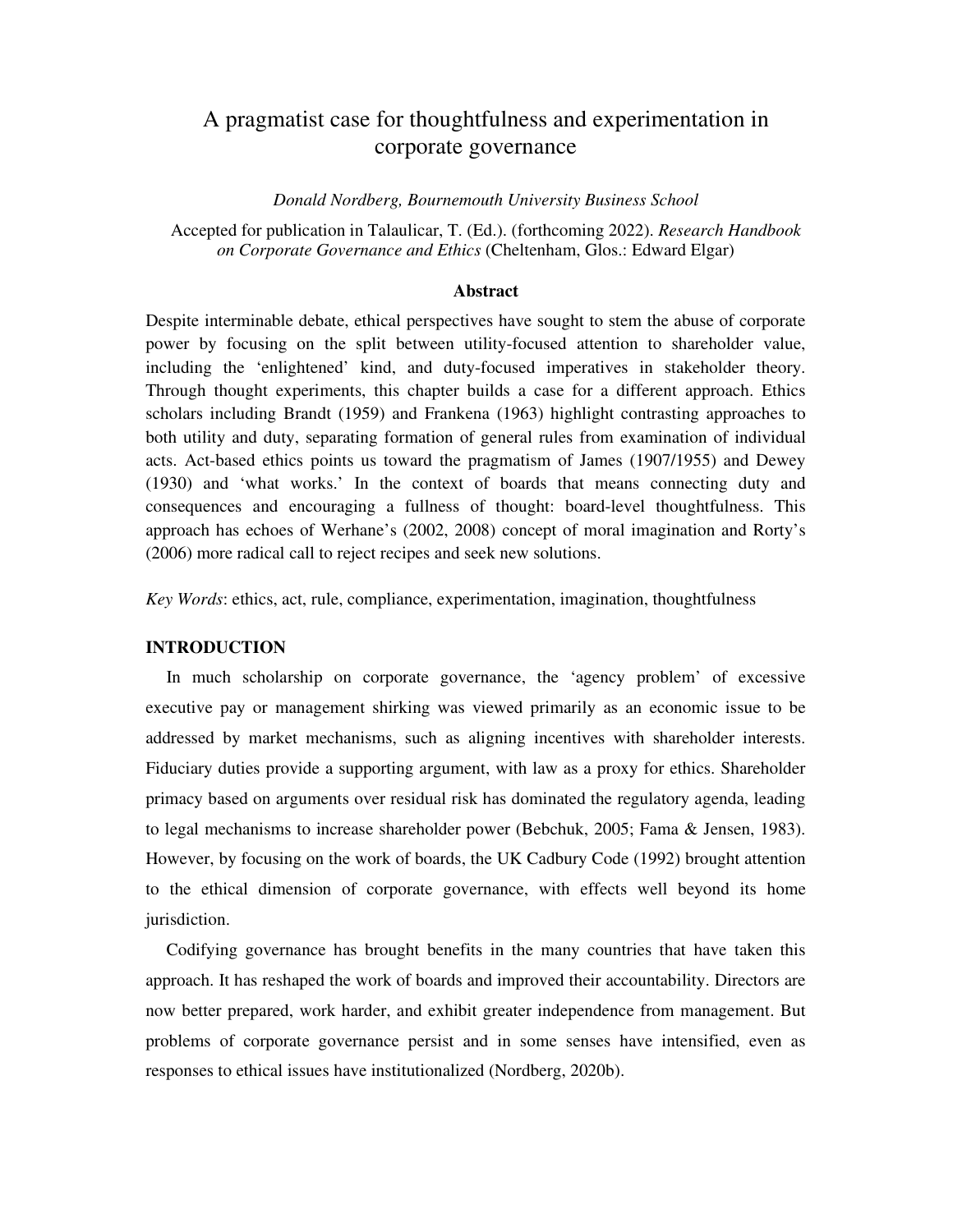# A pragmatist case for thoughtfulness and experimentation in corporate governance

*Donald Nordberg, Bournemouth University Business School* 

Accepted for publication in Talaulicar, T. (Ed.). (forthcoming 2022). *Research Handbook on Corporate Governance and Ethics* (Cheltenham, Glos.: Edward Elgar)

## **Abstract**

Despite interminable debate, ethical perspectives have sought to stem the abuse of corporate power by focusing on the split between utility-focused attention to shareholder value, including the 'enlightened' kind, and duty-focused imperatives in stakeholder theory. Through thought experiments, this chapter builds a case for a different approach. Ethics scholars including Brandt (1959) and Frankena (1963) highlight contrasting approaches to both utility and duty, separating formation of general rules from examination of individual acts. Act-based ethics points us toward the pragmatism of James (1907/1955) and Dewey (1930) and 'what works.' In the context of boards that means connecting duty and consequences and encouraging a fullness of thought: board-level thoughtfulness. This approach has echoes of Werhane's (2002, 2008) concept of moral imagination and Rorty's (2006) more radical call to reject recipes and seek new solutions.

*Key Words*: ethics, act, rule, compliance, experimentation, imagination, thoughtfulness

## **INTRODUCTION**

In much scholarship on corporate governance, the 'agency problem' of excessive executive pay or management shirking was viewed primarily as an economic issue to be addressed by market mechanisms, such as aligning incentives with shareholder interests. Fiduciary duties provide a supporting argument, with law as a proxy for ethics. Shareholder primacy based on arguments over residual risk has dominated the regulatory agenda, leading to legal mechanisms to increase shareholder power (Bebchuk, 2005; Fama & Jensen, 1983). However, by focusing on the work of boards, the UK Cadbury Code (1992) brought attention to the ethical dimension of corporate governance, with effects well beyond its home jurisdiction.

Codifying governance has brought benefits in the many countries that have taken this approach. It has reshaped the work of boards and improved their accountability. Directors are now better prepared, work harder, and exhibit greater independence from management. But problems of corporate governance persist and in some senses have intensified, even as responses to ethical issues have institutionalized (Nordberg, 2020b).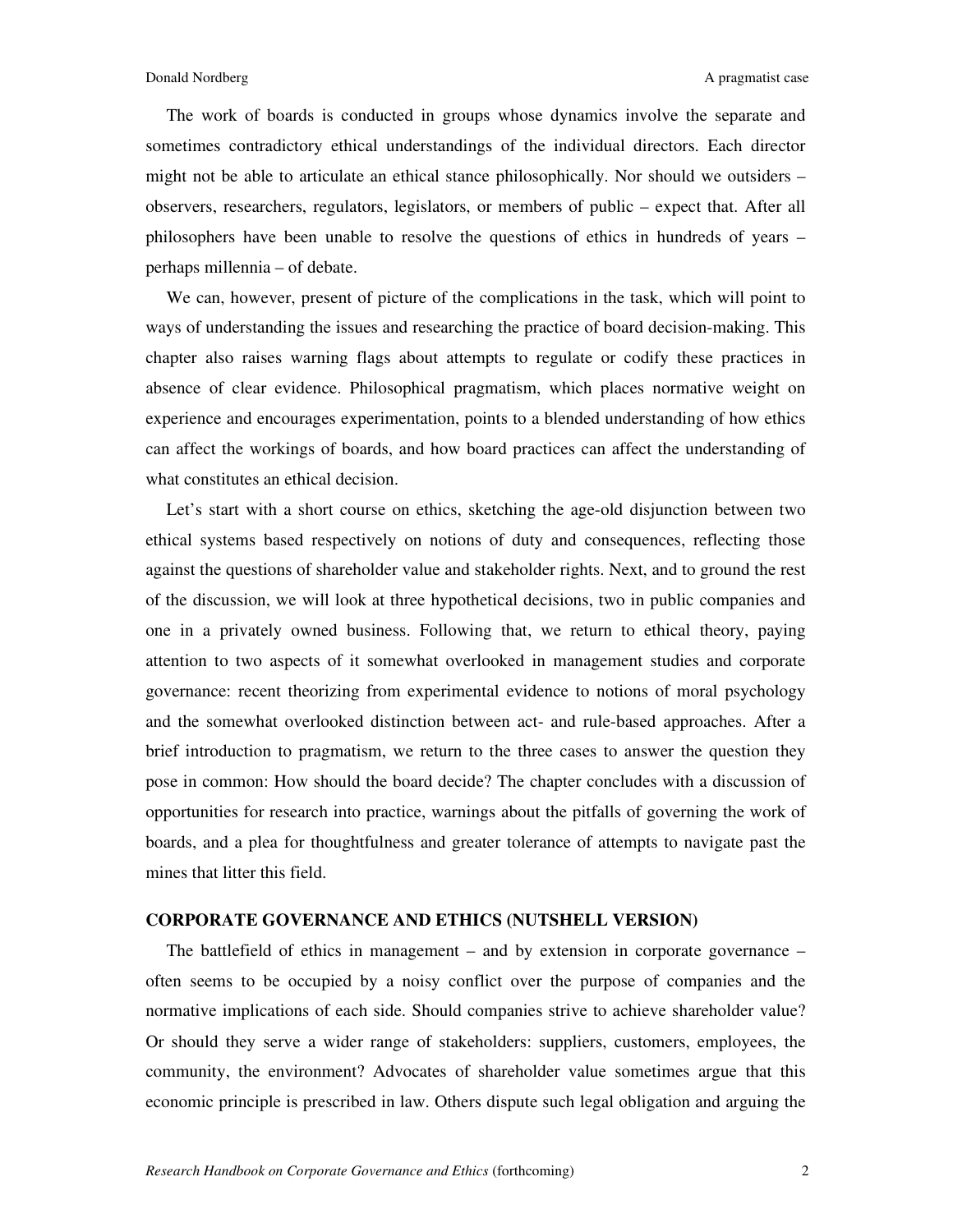The work of boards is conducted in groups whose dynamics involve the separate and sometimes contradictory ethical understandings of the individual directors. Each director might not be able to articulate an ethical stance philosophically. Nor should we outsiders – observers, researchers, regulators, legislators, or members of public – expect that. After all philosophers have been unable to resolve the questions of ethics in hundreds of years – perhaps millennia – of debate.

We can, however, present of picture of the complications in the task, which will point to ways of understanding the issues and researching the practice of board decision-making. This chapter also raises warning flags about attempts to regulate or codify these practices in absence of clear evidence. Philosophical pragmatism, which places normative weight on experience and encourages experimentation, points to a blended understanding of how ethics can affect the workings of boards, and how board practices can affect the understanding of what constitutes an ethical decision.

Let's start with a short course on ethics, sketching the age-old disjunction between two ethical systems based respectively on notions of duty and consequences, reflecting those against the questions of shareholder value and stakeholder rights. Next, and to ground the rest of the discussion, we will look at three hypothetical decisions, two in public companies and one in a privately owned business. Following that, we return to ethical theory, paying attention to two aspects of it somewhat overlooked in management studies and corporate governance: recent theorizing from experimental evidence to notions of moral psychology and the somewhat overlooked distinction between act- and rule-based approaches. After a brief introduction to pragmatism, we return to the three cases to answer the question they pose in common: How should the board decide? The chapter concludes with a discussion of opportunities for research into practice, warnings about the pitfalls of governing the work of boards, and a plea for thoughtfulness and greater tolerance of attempts to navigate past the mines that litter this field.

### **CORPORATE GOVERNANCE AND ETHICS (NUTSHELL VERSION)**

The battlefield of ethics in management – and by extension in corporate governance – often seems to be occupied by a noisy conflict over the purpose of companies and the normative implications of each side. Should companies strive to achieve shareholder value? Or should they serve a wider range of stakeholders: suppliers, customers, employees, the community, the environment? Advocates of shareholder value sometimes argue that this economic principle is prescribed in law. Others dispute such legal obligation and arguing the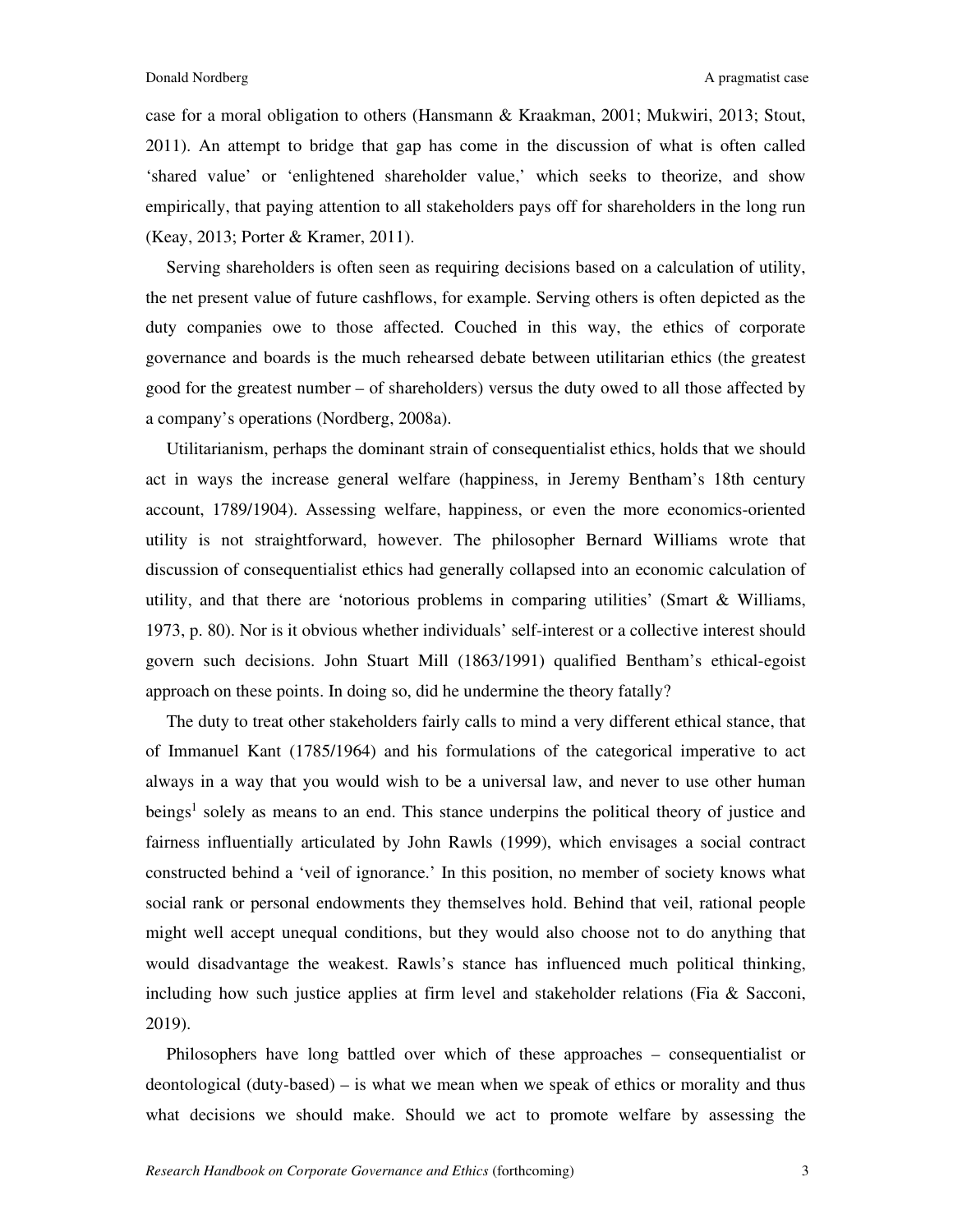case for a moral obligation to others (Hansmann & Kraakman, 2001; Mukwiri, 2013; Stout, 2011). An attempt to bridge that gap has come in the discussion of what is often called 'shared value' or 'enlightened shareholder value,' which seeks to theorize, and show empirically, that paying attention to all stakeholders pays off for shareholders in the long run (Keay, 2013; Porter & Kramer, 2011).

Serving shareholders is often seen as requiring decisions based on a calculation of utility, the net present value of future cashflows, for example. Serving others is often depicted as the duty companies owe to those affected. Couched in this way, the ethics of corporate governance and boards is the much rehearsed debate between utilitarian ethics (the greatest good for the greatest number – of shareholders) versus the duty owed to all those affected by a company's operations (Nordberg, 2008a).

Utilitarianism, perhaps the dominant strain of consequentialist ethics, holds that we should act in ways the increase general welfare (happiness, in Jeremy Bentham's 18th century account, 1789/1904). Assessing welfare, happiness, or even the more economics-oriented utility is not straightforward, however. The philosopher Bernard Williams wrote that discussion of consequentialist ethics had generally collapsed into an economic calculation of utility, and that there are 'notorious problems in comparing utilities' (Smart & Williams, 1973, p. 80). Nor is it obvious whether individuals' self-interest or a collective interest should govern such decisions. John Stuart Mill (1863/1991) qualified Bentham's ethical-egoist approach on these points. In doing so, did he undermine the theory fatally?

The duty to treat other stakeholders fairly calls to mind a very different ethical stance, that of Immanuel Kant (1785/1964) and his formulations of the categorical imperative to act always in a way that you would wish to be a universal law, and never to use other human beings<sup>1</sup> solely as means to an end. This stance underpins the political theory of justice and fairness influentially articulated by John Rawls (1999), which envisages a social contract constructed behind a 'veil of ignorance.' In this position, no member of society knows what social rank or personal endowments they themselves hold. Behind that veil, rational people might well accept unequal conditions, but they would also choose not to do anything that would disadvantage the weakest. Rawls's stance has influenced much political thinking, including how such justice applies at firm level and stakeholder relations (Fia  $\&$  Sacconi, 2019).

Philosophers have long battled over which of these approaches – consequentialist or deontological (duty-based) – is what we mean when we speak of ethics or morality and thus what decisions we should make. Should we act to promote welfare by assessing the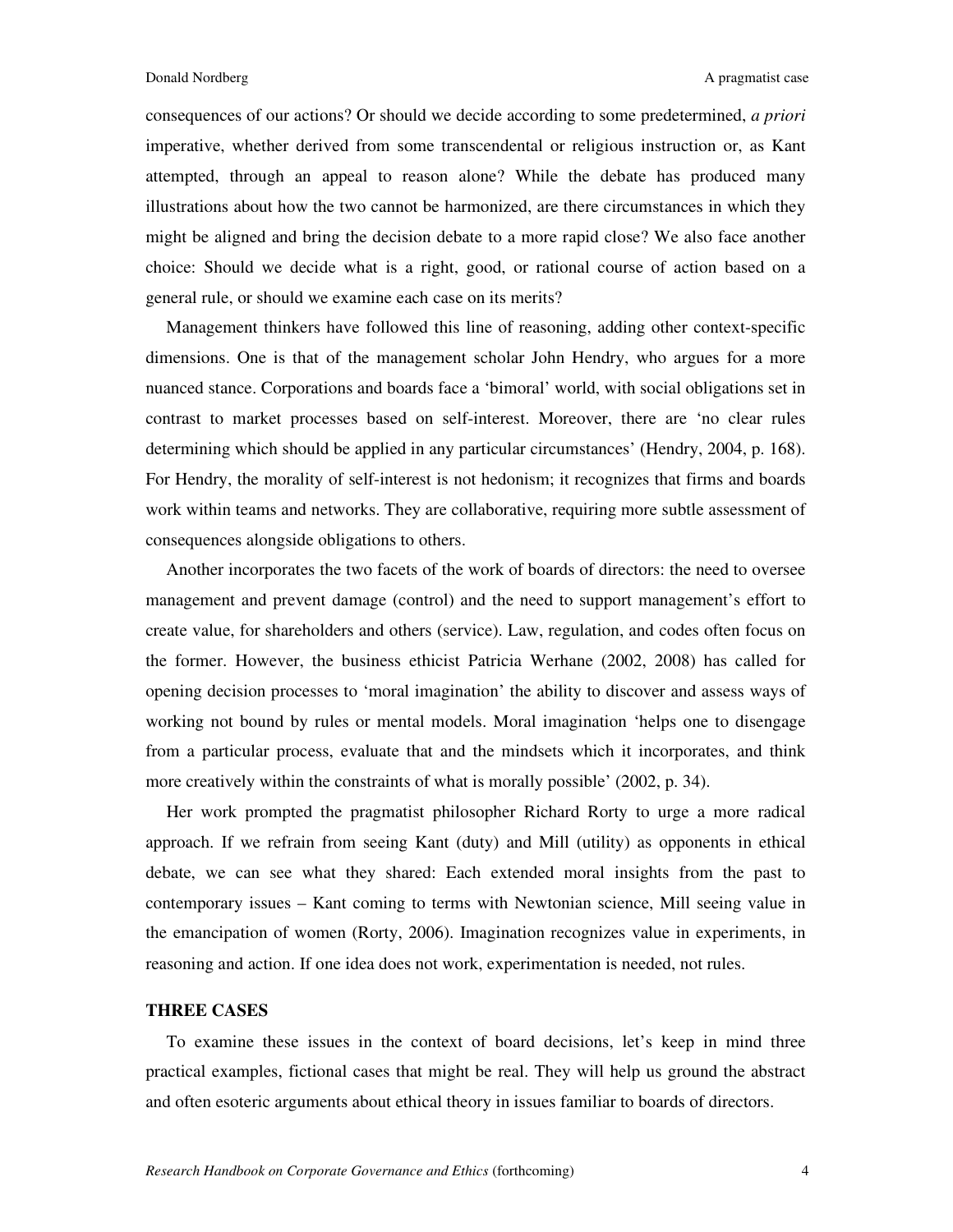consequences of our actions? Or should we decide according to some predetermined, *a priori* imperative, whether derived from some transcendental or religious instruction or, as Kant attempted, through an appeal to reason alone? While the debate has produced many illustrations about how the two cannot be harmonized, are there circumstances in which they might be aligned and bring the decision debate to a more rapid close? We also face another choice: Should we decide what is a right, good, or rational course of action based on a general rule, or should we examine each case on its merits?

Management thinkers have followed this line of reasoning, adding other context-specific dimensions. One is that of the management scholar John Hendry, who argues for a more nuanced stance. Corporations and boards face a 'bimoral' world, with social obligations set in contrast to market processes based on self-interest. Moreover, there are 'no clear rules determining which should be applied in any particular circumstances' (Hendry, 2004, p. 168). For Hendry, the morality of self-interest is not hedonism; it recognizes that firms and boards work within teams and networks. They are collaborative, requiring more subtle assessment of consequences alongside obligations to others.

Another incorporates the two facets of the work of boards of directors: the need to oversee management and prevent damage (control) and the need to support management's effort to create value, for shareholders and others (service). Law, regulation, and codes often focus on the former. However, the business ethicist Patricia Werhane (2002, 2008) has called for opening decision processes to 'moral imagination' the ability to discover and assess ways of working not bound by rules or mental models. Moral imagination 'helps one to disengage from a particular process, evaluate that and the mindsets which it incorporates, and think more creatively within the constraints of what is morally possible' (2002, p. 34).

Her work prompted the pragmatist philosopher Richard Rorty to urge a more radical approach. If we refrain from seeing Kant (duty) and Mill (utility) as opponents in ethical debate, we can see what they shared: Each extended moral insights from the past to contemporary issues – Kant coming to terms with Newtonian science, Mill seeing value in the emancipation of women (Rorty, 2006). Imagination recognizes value in experiments, in reasoning and action. If one idea does not work, experimentation is needed, not rules.

## **THREE CASES**

To examine these issues in the context of board decisions, let's keep in mind three practical examples, fictional cases that might be real. They will help us ground the abstract and often esoteric arguments about ethical theory in issues familiar to boards of directors.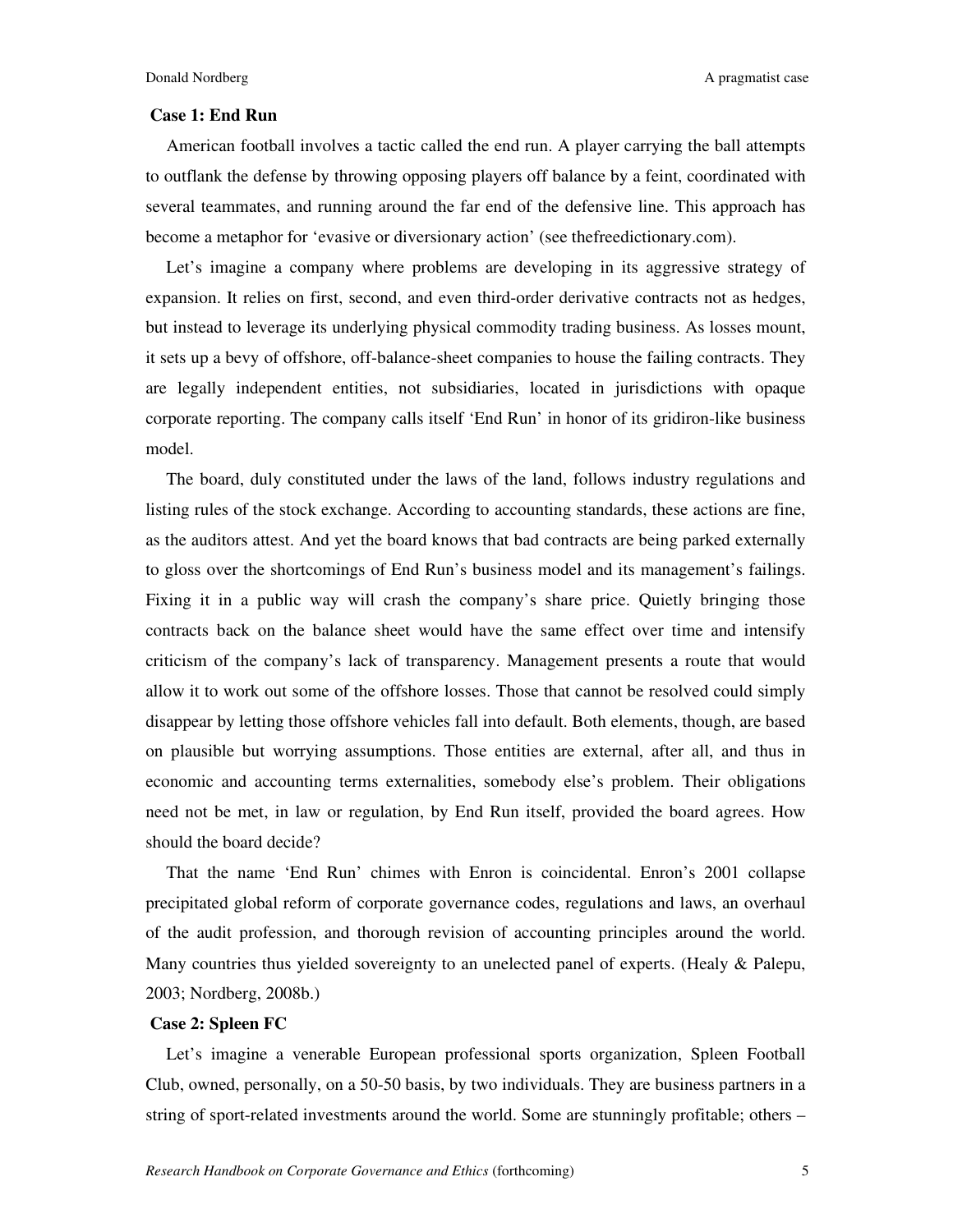### **Case 1: End Run**

American football involves a tactic called the end run. A player carrying the ball attempts to outflank the defense by throwing opposing players off balance by a feint, coordinated with several teammates, and running around the far end of the defensive line. This approach has become a metaphor for 'evasive or diversionary action' (see thefreedictionary.com).

Let's imagine a company where problems are developing in its aggressive strategy of expansion. It relies on first, second, and even third-order derivative contracts not as hedges, but instead to leverage its underlying physical commodity trading business. As losses mount, it sets up a bevy of offshore, off-balance-sheet companies to house the failing contracts. They are legally independent entities, not subsidiaries, located in jurisdictions with opaque corporate reporting. The company calls itself 'End Run' in honor of its gridiron-like business model.

The board, duly constituted under the laws of the land, follows industry regulations and listing rules of the stock exchange. According to accounting standards, these actions are fine, as the auditors attest. And yet the board knows that bad contracts are being parked externally to gloss over the shortcomings of End Run's business model and its management's failings. Fixing it in a public way will crash the company's share price. Quietly bringing those contracts back on the balance sheet would have the same effect over time and intensify criticism of the company's lack of transparency. Management presents a route that would allow it to work out some of the offshore losses. Those that cannot be resolved could simply disappear by letting those offshore vehicles fall into default. Both elements, though, are based on plausible but worrying assumptions. Those entities are external, after all, and thus in economic and accounting terms externalities, somebody else's problem. Their obligations need not be met, in law or regulation, by End Run itself, provided the board agrees. How should the board decide?

That the name 'End Run' chimes with Enron is coincidental. Enron's 2001 collapse precipitated global reform of corporate governance codes, regulations and laws, an overhaul of the audit profession, and thorough revision of accounting principles around the world. Many countries thus yielded sovereignty to an unelected panel of experts. (Healy & Palepu, 2003; Nordberg, 2008b.)

## **Case 2: Spleen FC**

Let's imagine a venerable European professional sports organization, Spleen Football Club, owned, personally, on a 50-50 basis, by two individuals. They are business partners in a string of sport-related investments around the world. Some are stunningly profitable; others –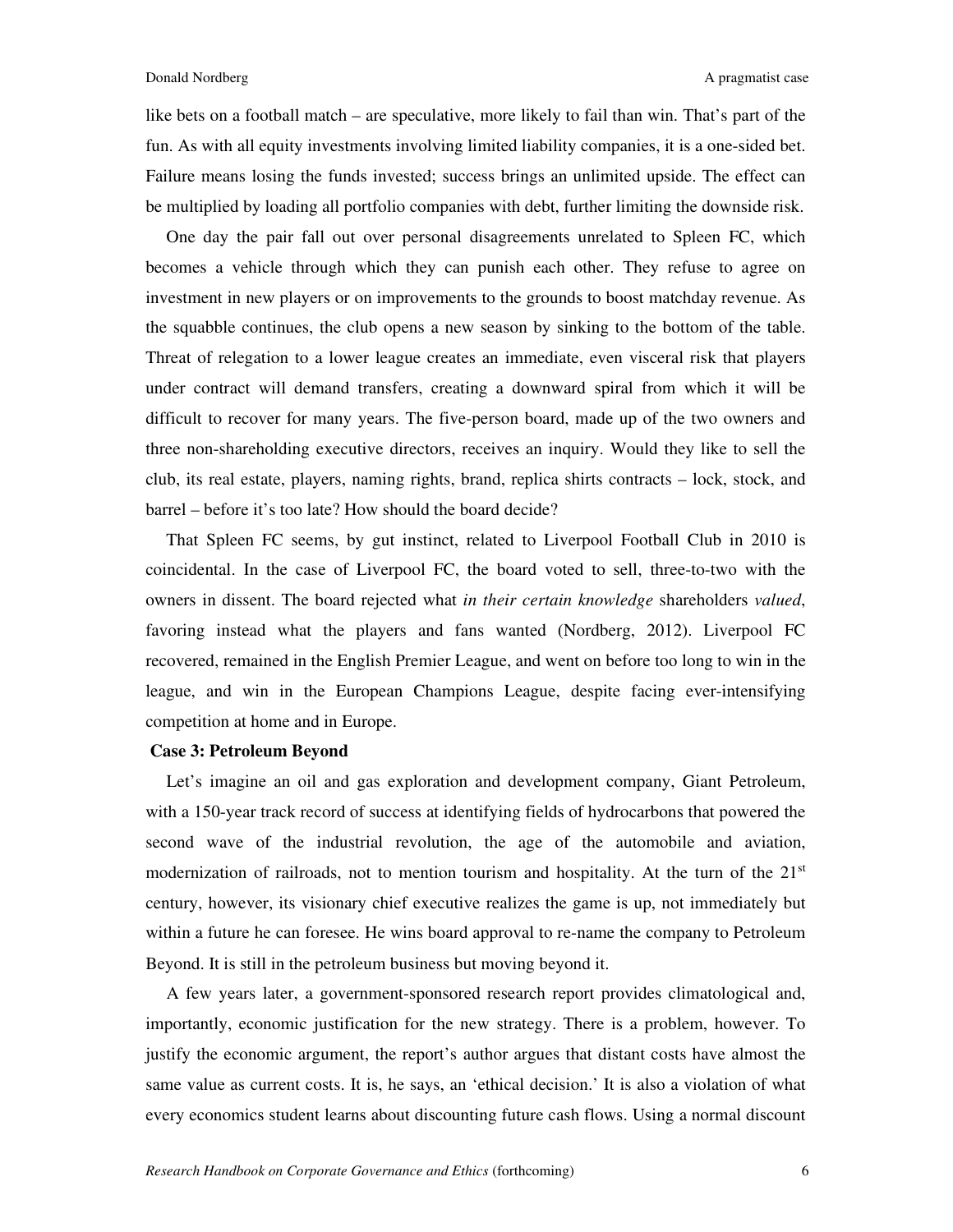like bets on a football match – are speculative, more likely to fail than win. That's part of the fun. As with all equity investments involving limited liability companies, it is a one-sided bet. Failure means losing the funds invested; success brings an unlimited upside. The effect can be multiplied by loading all portfolio companies with debt, further limiting the downside risk.

One day the pair fall out over personal disagreements unrelated to Spleen FC, which becomes a vehicle through which they can punish each other. They refuse to agree on investment in new players or on improvements to the grounds to boost matchday revenue. As the squabble continues, the club opens a new season by sinking to the bottom of the table. Threat of relegation to a lower league creates an immediate, even visceral risk that players under contract will demand transfers, creating a downward spiral from which it will be difficult to recover for many years. The five-person board, made up of the two owners and three non-shareholding executive directors, receives an inquiry. Would they like to sell the club, its real estate, players, naming rights, brand, replica shirts contracts – lock, stock, and barrel – before it's too late? How should the board decide?

That Spleen FC seems, by gut instinct, related to Liverpool Football Club in 2010 is coincidental. In the case of Liverpool FC, the board voted to sell, three-to-two with the owners in dissent. The board rejected what *in their certain knowledge* shareholders *valued*, favoring instead what the players and fans wanted (Nordberg, 2012). Liverpool FC recovered, remained in the English Premier League, and went on before too long to win in the league, and win in the European Champions League, despite facing ever-intensifying competition at home and in Europe.

#### **Case 3: Petroleum Beyond**

Let's imagine an oil and gas exploration and development company, Giant Petroleum, with a 150-year track record of success at identifying fields of hydrocarbons that powered the second wave of the industrial revolution, the age of the automobile and aviation, modernization of railroads, not to mention tourism and hospitality. At the turn of the  $21<sup>st</sup>$ century, however, its visionary chief executive realizes the game is up, not immediately but within a future he can foresee. He wins board approval to re-name the company to Petroleum Beyond. It is still in the petroleum business but moving beyond it.

A few years later, a government-sponsored research report provides climatological and, importantly, economic justification for the new strategy. There is a problem, however. To justify the economic argument, the report's author argues that distant costs have almost the same value as current costs. It is, he says, an 'ethical decision.' It is also a violation of what every economics student learns about discounting future cash flows. Using a normal discount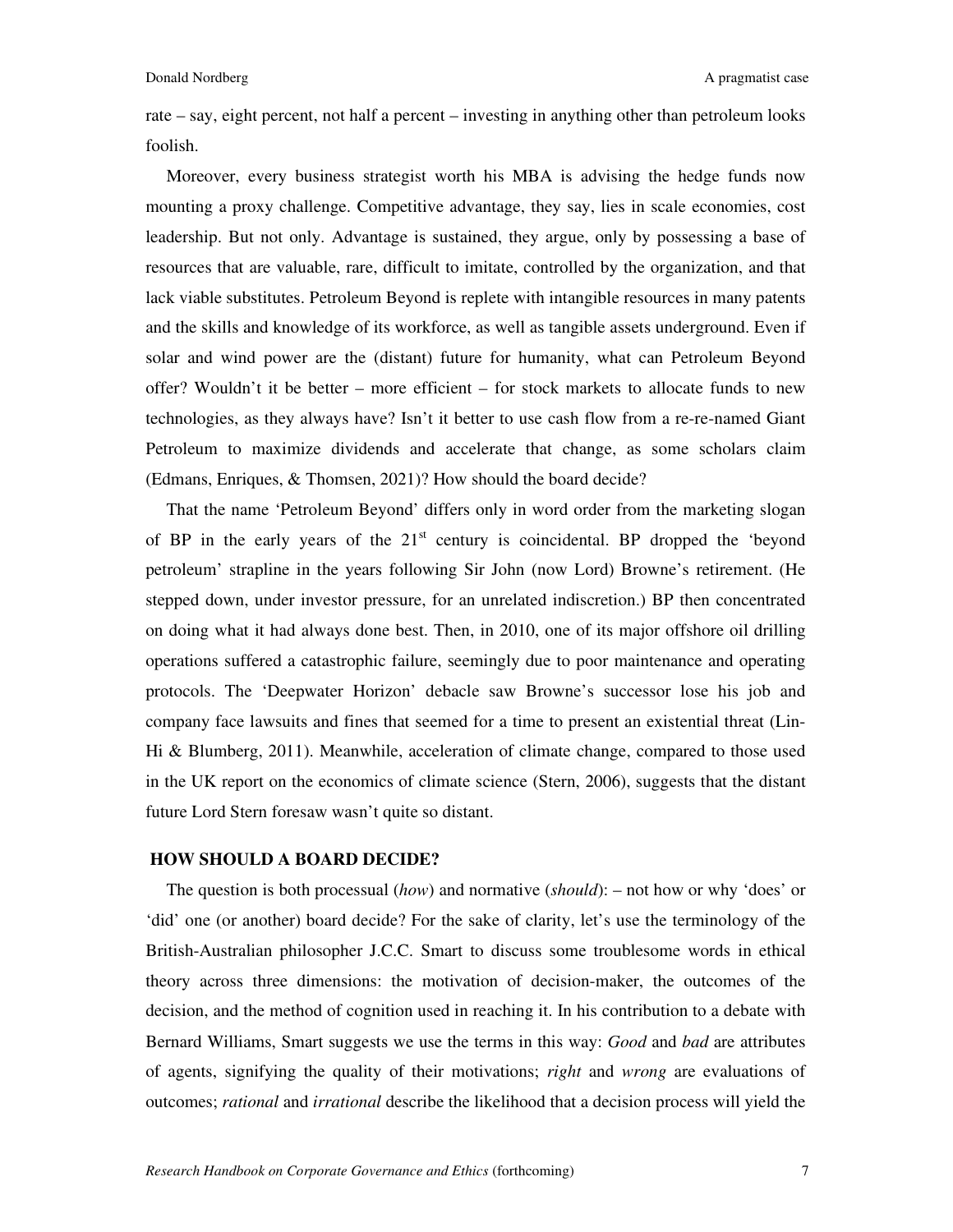rate – say, eight percent, not half a percent – investing in anything other than petroleum looks foolish.

Moreover, every business strategist worth his MBA is advising the hedge funds now mounting a proxy challenge. Competitive advantage, they say, lies in scale economies, cost leadership. But not only. Advantage is sustained, they argue, only by possessing a base of resources that are valuable, rare, difficult to imitate, controlled by the organization, and that lack viable substitutes. Petroleum Beyond is replete with intangible resources in many patents and the skills and knowledge of its workforce, as well as tangible assets underground. Even if solar and wind power are the (distant) future for humanity, what can Petroleum Beyond offer? Wouldn't it be better – more efficient – for stock markets to allocate funds to new technologies, as they always have? Isn't it better to use cash flow from a re-re-named Giant Petroleum to maximize dividends and accelerate that change, as some scholars claim (Edmans, Enriques, & Thomsen, 2021)? How should the board decide?

That the name 'Petroleum Beyond' differs only in word order from the marketing slogan of BP in the early years of the  $21<sup>st</sup>$  century is coincidental. BP dropped the 'beyond petroleum' strapline in the years following Sir John (now Lord) Browne's retirement. (He stepped down, under investor pressure, for an unrelated indiscretion.) BP then concentrated on doing what it had always done best. Then, in 2010, one of its major offshore oil drilling operations suffered a catastrophic failure, seemingly due to poor maintenance and operating protocols. The 'Deepwater Horizon' debacle saw Browne's successor lose his job and company face lawsuits and fines that seemed for a time to present an existential threat (Lin-Hi & Blumberg, 2011). Meanwhile, acceleration of climate change, compared to those used in the UK report on the economics of climate science (Stern, 2006), suggests that the distant future Lord Stern foresaw wasn't quite so distant.

#### **HOW SHOULD A BOARD DECIDE?**

The question is both processual (*how*) and normative (*should*): – not how or why 'does' or 'did' one (or another) board decide? For the sake of clarity, let's use the terminology of the British-Australian philosopher J.C.C. Smart to discuss some troublesome words in ethical theory across three dimensions: the motivation of decision-maker, the outcomes of the decision, and the method of cognition used in reaching it. In his contribution to a debate with Bernard Williams, Smart suggests we use the terms in this way: *Good* and *bad* are attributes of agents, signifying the quality of their motivations; *right* and *wrong* are evaluations of outcomes; *rational* and *irrational* describe the likelihood that a decision process will yield the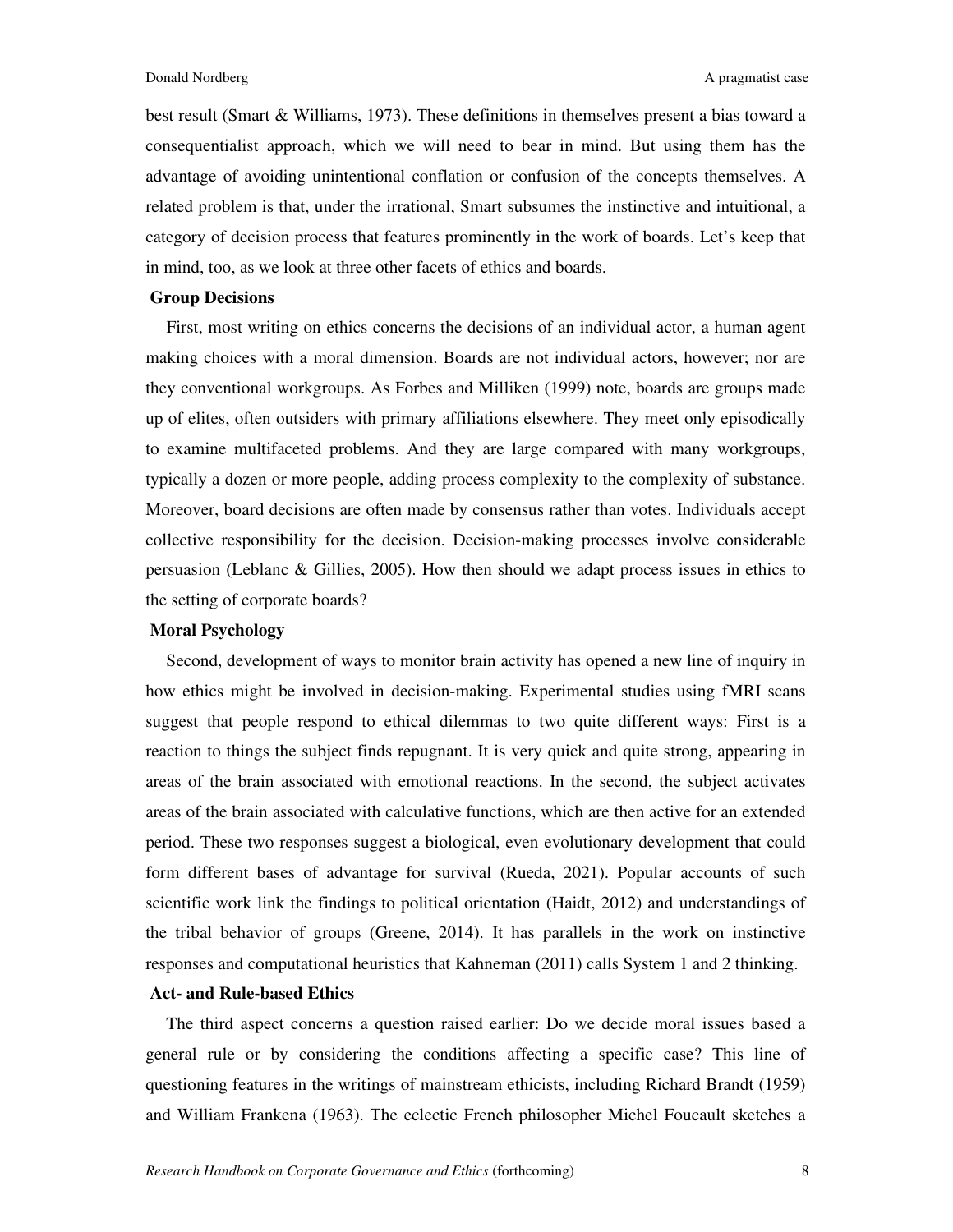best result (Smart & Williams, 1973). These definitions in themselves present a bias toward a consequentialist approach, which we will need to bear in mind. But using them has the advantage of avoiding unintentional conflation or confusion of the concepts themselves. A related problem is that, under the irrational, Smart subsumes the instinctive and intuitional, a category of decision process that features prominently in the work of boards. Let's keep that in mind, too, as we look at three other facets of ethics and boards.

#### **Group Decisions**

First, most writing on ethics concerns the decisions of an individual actor, a human agent making choices with a moral dimension. Boards are not individual actors, however; nor are they conventional workgroups. As Forbes and Milliken (1999) note, boards are groups made up of elites, often outsiders with primary affiliations elsewhere. They meet only episodically to examine multifaceted problems. And they are large compared with many workgroups, typically a dozen or more people, adding process complexity to the complexity of substance. Moreover, board decisions are often made by consensus rather than votes. Individuals accept collective responsibility for the decision. Decision-making processes involve considerable persuasion (Leblanc & Gillies, 2005). How then should we adapt process issues in ethics to the setting of corporate boards?

#### **Moral Psychology**

Second, development of ways to monitor brain activity has opened a new line of inquiry in how ethics might be involved in decision-making. Experimental studies using fMRI scans suggest that people respond to ethical dilemmas to two quite different ways: First is a reaction to things the subject finds repugnant. It is very quick and quite strong, appearing in areas of the brain associated with emotional reactions. In the second, the subject activates areas of the brain associated with calculative functions, which are then active for an extended period. These two responses suggest a biological, even evolutionary development that could form different bases of advantage for survival (Rueda, 2021). Popular accounts of such scientific work link the findings to political orientation (Haidt, 2012) and understandings of the tribal behavior of groups (Greene, 2014). It has parallels in the work on instinctive responses and computational heuristics that Kahneman (2011) calls System 1 and 2 thinking.

#### **Act- and Rule-based Ethics**

The third aspect concerns a question raised earlier: Do we decide moral issues based a general rule or by considering the conditions affecting a specific case? This line of questioning features in the writings of mainstream ethicists, including Richard Brandt (1959) and William Frankena (1963). The eclectic French philosopher Michel Foucault sketches a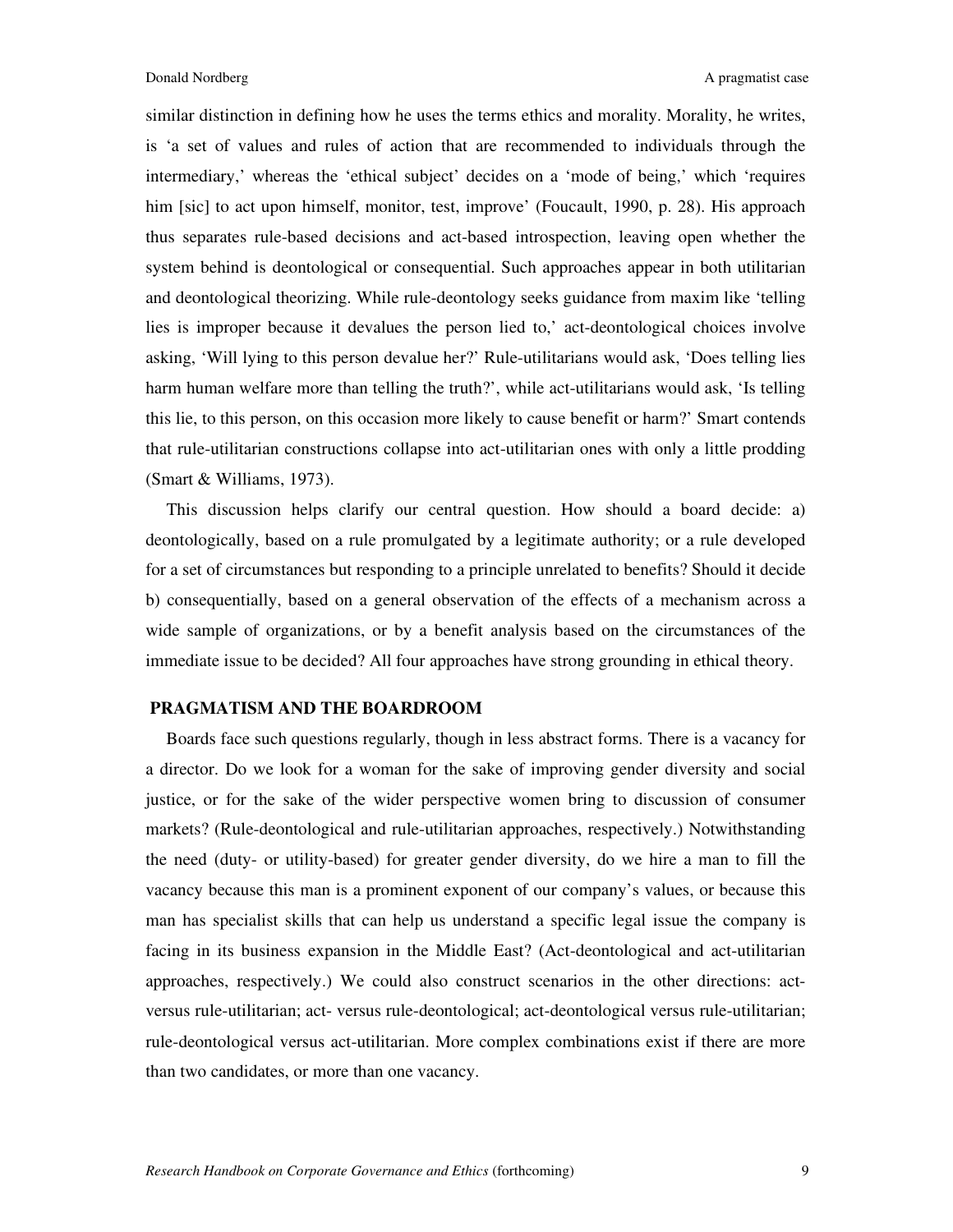similar distinction in defining how he uses the terms ethics and morality. Morality, he writes, is 'a set of values and rules of action that are recommended to individuals through the intermediary,' whereas the 'ethical subject' decides on a 'mode of being,' which 'requires him [sic] to act upon himself, monitor, test, improve' (Foucault, 1990, p. 28). His approach thus separates rule-based decisions and act-based introspection, leaving open whether the system behind is deontological or consequential. Such approaches appear in both utilitarian and deontological theorizing. While rule-deontology seeks guidance from maxim like 'telling lies is improper because it devalues the person lied to,' act-deontological choices involve asking, 'Will lying to this person devalue her?' Rule-utilitarians would ask, 'Does telling lies harm human welfare more than telling the truth?', while act-utilitarians would ask, 'Is telling this lie, to this person, on this occasion more likely to cause benefit or harm?' Smart contends that rule-utilitarian constructions collapse into act-utilitarian ones with only a little prodding (Smart & Williams, 1973).

This discussion helps clarify our central question. How should a board decide: a) deontologically, based on a rule promulgated by a legitimate authority; or a rule developed for a set of circumstances but responding to a principle unrelated to benefits? Should it decide b) consequentially, based on a general observation of the effects of a mechanism across a wide sample of organizations, or by a benefit analysis based on the circumstances of the immediate issue to be decided? All four approaches have strong grounding in ethical theory.

#### **PRAGMATISM AND THE BOARDROOM**

Boards face such questions regularly, though in less abstract forms. There is a vacancy for a director. Do we look for a woman for the sake of improving gender diversity and social justice, or for the sake of the wider perspective women bring to discussion of consumer markets? (Rule-deontological and rule-utilitarian approaches, respectively.) Notwithstanding the need (duty- or utility-based) for greater gender diversity, do we hire a man to fill the vacancy because this man is a prominent exponent of our company's values, or because this man has specialist skills that can help us understand a specific legal issue the company is facing in its business expansion in the Middle East? (Act-deontological and act-utilitarian approaches, respectively.) We could also construct scenarios in the other directions: actversus rule-utilitarian; act- versus rule-deontological; act-deontological versus rule-utilitarian; rule-deontological versus act-utilitarian. More complex combinations exist if there are more than two candidates, or more than one vacancy.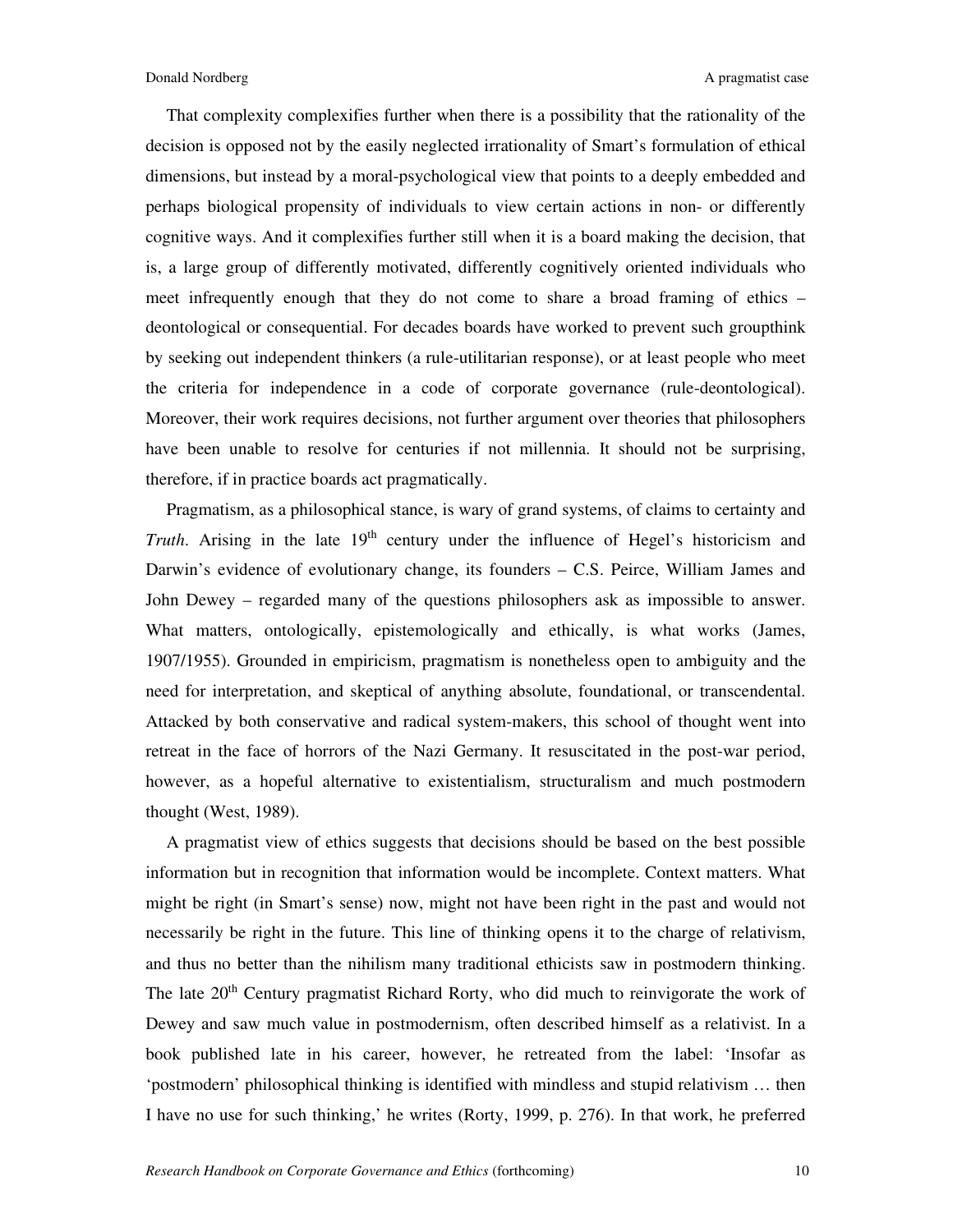That complexity complexifies further when there is a possibility that the rationality of the decision is opposed not by the easily neglected irrationality of Smart's formulation of ethical dimensions, but instead by a moral-psychological view that points to a deeply embedded and perhaps biological propensity of individuals to view certain actions in non- or differently cognitive ways. And it complexifies further still when it is a board making the decision, that is, a large group of differently motivated, differently cognitively oriented individuals who meet infrequently enough that they do not come to share a broad framing of ethics – deontological or consequential. For decades boards have worked to prevent such groupthink by seeking out independent thinkers (a rule-utilitarian response), or at least people who meet the criteria for independence in a code of corporate governance (rule-deontological). Moreover, their work requires decisions, not further argument over theories that philosophers have been unable to resolve for centuries if not millennia. It should not be surprising, therefore, if in practice boards act pragmatically.

Pragmatism, as a philosophical stance, is wary of grand systems, of claims to certainty and *Truth*. Arising in the late 19<sup>th</sup> century under the influence of Hegel's historicism and Darwin's evidence of evolutionary change, its founders – C.S. Peirce, William James and John Dewey – regarded many of the questions philosophers ask as impossible to answer. What matters, ontologically, epistemologically and ethically, is what works (James, 1907/1955). Grounded in empiricism, pragmatism is nonetheless open to ambiguity and the need for interpretation, and skeptical of anything absolute, foundational, or transcendental. Attacked by both conservative and radical system-makers, this school of thought went into retreat in the face of horrors of the Nazi Germany. It resuscitated in the post-war period, however, as a hopeful alternative to existentialism, structuralism and much postmodern thought (West, 1989).

A pragmatist view of ethics suggests that decisions should be based on the best possible information but in recognition that information would be incomplete. Context matters. What might be right (in Smart's sense) now, might not have been right in the past and would not necessarily be right in the future. This line of thinking opens it to the charge of relativism, and thus no better than the nihilism many traditional ethicists saw in postmodern thinking. The late 20<sup>th</sup> Century pragmatist Richard Rorty, who did much to reinvigorate the work of Dewey and saw much value in postmodernism, often described himself as a relativist. In a book published late in his career, however, he retreated from the label: 'Insofar as 'postmodern' philosophical thinking is identified with mindless and stupid relativism … then I have no use for such thinking,' he writes (Rorty, 1999, p. 276). In that work, he preferred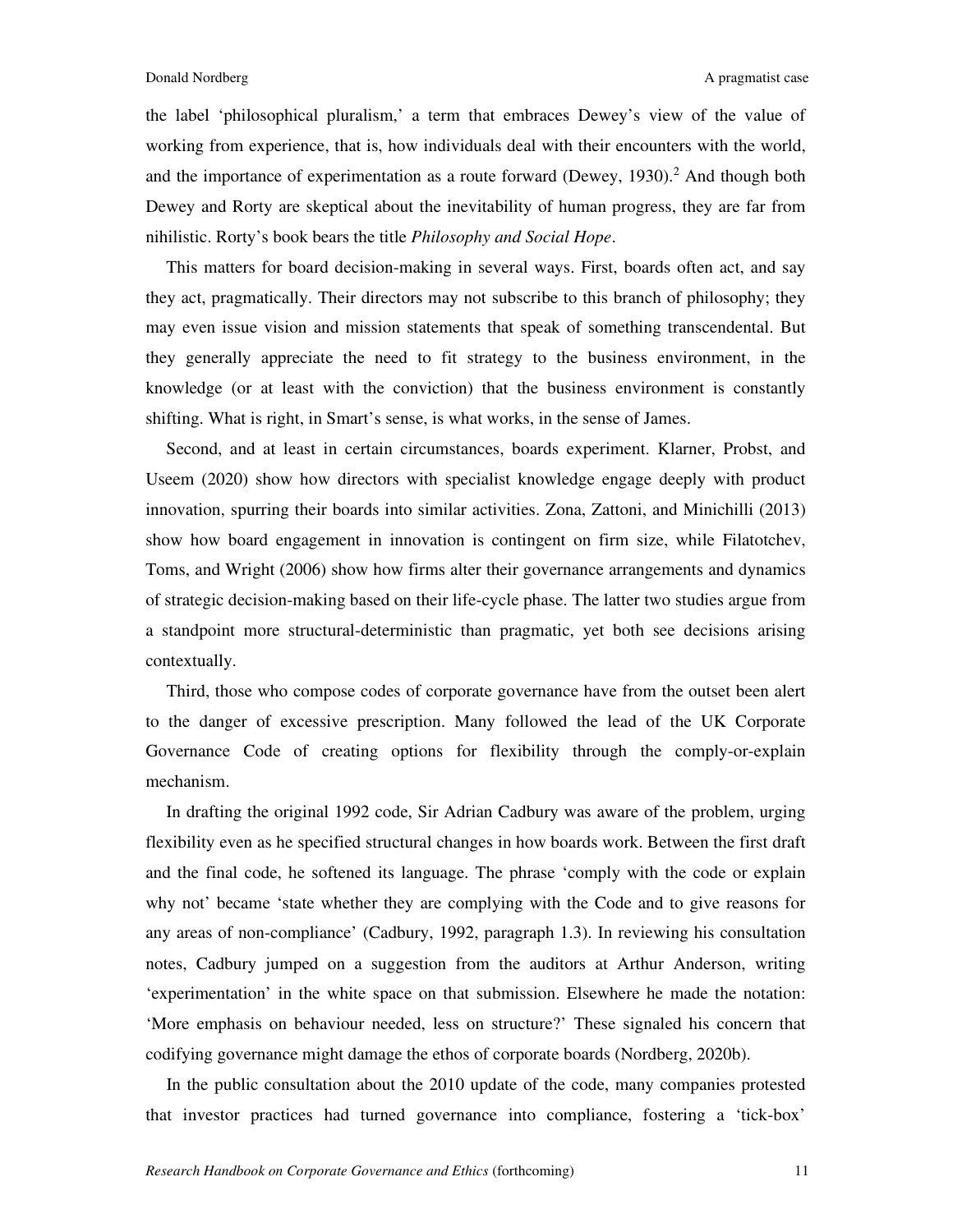the label 'philosophical pluralism,' a term that embraces Dewey's view of the value of working from experience, that is, how individuals deal with their encounters with the world, and the importance of experimentation as a route forward (Dewey, 1930).<sup>2</sup> And though both Dewey and Rorty are skeptical about the inevitability of human progress, they are far from nihilistic. Rorty's book bears the title *Philosophy and Social Hope*.

This matters for board decision-making in several ways. First, boards often act, and say they act, pragmatically. Their directors may not subscribe to this branch of philosophy; they may even issue vision and mission statements that speak of something transcendental. But they generally appreciate the need to fit strategy to the business environment, in the knowledge (or at least with the conviction) that the business environment is constantly shifting. What is right, in Smart's sense, is what works, in the sense of James.

Second, and at least in certain circumstances, boards experiment. Klarner, Probst, and Useem (2020) show how directors with specialist knowledge engage deeply with product innovation, spurring their boards into similar activities. Zona, Zattoni, and Minichilli (2013) show how board engagement in innovation is contingent on firm size, while Filatotchev, Toms, and Wright (2006) show how firms alter their governance arrangements and dynamics of strategic decision-making based on their life-cycle phase. The latter two studies argue from a standpoint more structural-deterministic than pragmatic, yet both see decisions arising contextually.

Third, those who compose codes of corporate governance have from the outset been alert to the danger of excessive prescription. Many followed the lead of the UK Corporate Governance Code of creating options for flexibility through the comply-or-explain mechanism.

In drafting the original 1992 code, Sir Adrian Cadbury was aware of the problem, urging flexibility even as he specified structural changes in how boards work. Between the first draft and the final code, he softened its language. The phrase 'comply with the code or explain why not' became 'state whether they are complying with the Code and to give reasons for any areas of non-compliance' (Cadbury, 1992, paragraph 1.3). In reviewing his consultation notes, Cadbury jumped on a suggestion from the auditors at Arthur Anderson, writing 'experimentation' in the white space on that submission. Elsewhere he made the notation: 'More emphasis on behaviour needed, less on structure?' These signaled his concern that codifying governance might damage the ethos of corporate boards (Nordberg, 2020b).

In the public consultation about the 2010 update of the code, many companies protested that investor practices had turned governance into compliance, fostering a 'tick-box'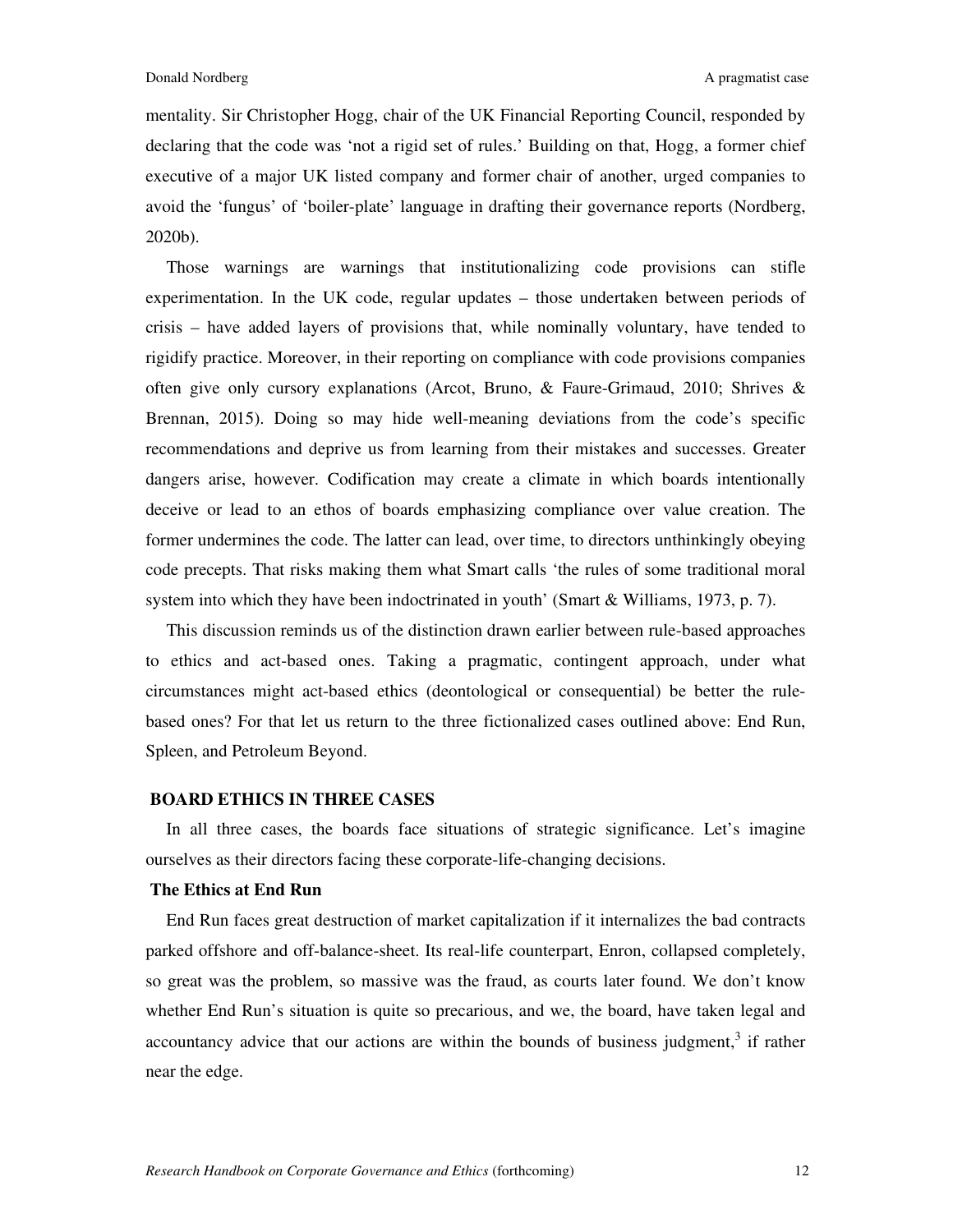mentality. Sir Christopher Hogg, chair of the UK Financial Reporting Council, responded by declaring that the code was 'not a rigid set of rules.' Building on that, Hogg, a former chief executive of a major UK listed company and former chair of another, urged companies to avoid the 'fungus' of 'boiler-plate' language in drafting their governance reports (Nordberg, 2020b).

Those warnings are warnings that institutionalizing code provisions can stifle experimentation. In the UK code, regular updates – those undertaken between periods of crisis – have added layers of provisions that, while nominally voluntary, have tended to rigidify practice. Moreover, in their reporting on compliance with code provisions companies often give only cursory explanations (Arcot, Bruno, & Faure-Grimaud, 2010; Shrives & Brennan, 2015). Doing so may hide well-meaning deviations from the code's specific recommendations and deprive us from learning from their mistakes and successes. Greater dangers arise, however. Codification may create a climate in which boards intentionally deceive or lead to an ethos of boards emphasizing compliance over value creation. The former undermines the code. The latter can lead, over time, to directors unthinkingly obeying code precepts. That risks making them what Smart calls 'the rules of some traditional moral system into which they have been indoctrinated in youth' (Smart & Williams, 1973, p. 7).

This discussion reminds us of the distinction drawn earlier between rule-based approaches to ethics and act-based ones. Taking a pragmatic, contingent approach, under what circumstances might act-based ethics (deontological or consequential) be better the rulebased ones? For that let us return to the three fictionalized cases outlined above: End Run, Spleen, and Petroleum Beyond.

#### **BOARD ETHICS IN THREE CASES**

In all three cases, the boards face situations of strategic significance. Let's imagine ourselves as their directors facing these corporate-life-changing decisions.

#### **The Ethics at End Run**

End Run faces great destruction of market capitalization if it internalizes the bad contracts parked offshore and off-balance-sheet. Its real-life counterpart, Enron, collapsed completely, so great was the problem, so massive was the fraud, as courts later found. We don't know whether End Run's situation is quite so precarious, and we, the board, have taken legal and accountancy advice that our actions are within the bounds of business judgment, $3$  if rather near the edge.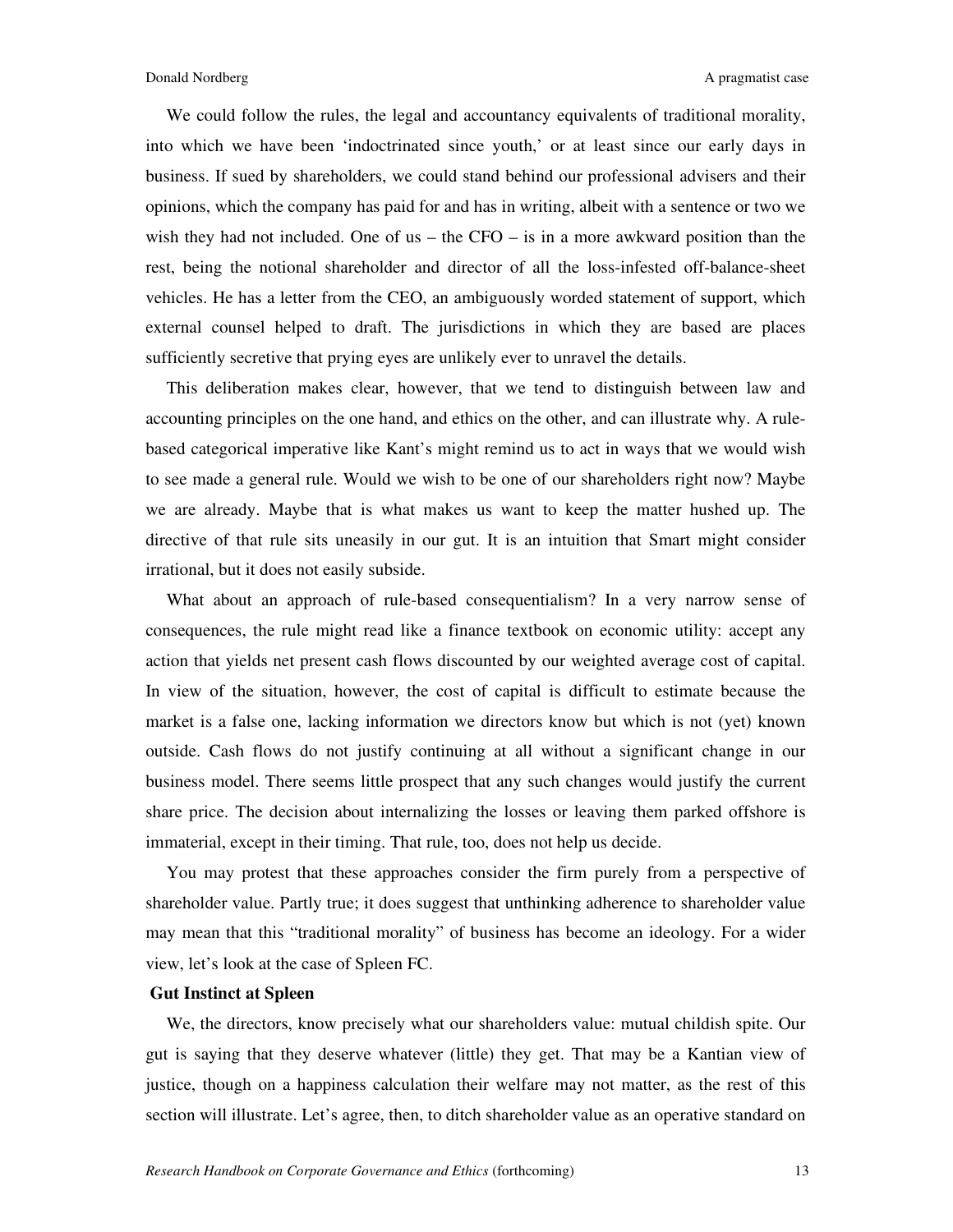We could follow the rules, the legal and accountancy equivalents of traditional morality, into which we have been 'indoctrinated since youth,' or at least since our early days in business. If sued by shareholders, we could stand behind our professional advisers and their opinions, which the company has paid for and has in writing, albeit with a sentence or two we wish they had not included. One of us – the  $CFO -$  is in a more awkward position than the rest, being the notional shareholder and director of all the loss-infested off-balance-sheet vehicles. He has a letter from the CEO, an ambiguously worded statement of support, which external counsel helped to draft. The jurisdictions in which they are based are places sufficiently secretive that prying eyes are unlikely ever to unravel the details.

This deliberation makes clear, however, that we tend to distinguish between law and accounting principles on the one hand, and ethics on the other, and can illustrate why. A rulebased categorical imperative like Kant's might remind us to act in ways that we would wish to see made a general rule. Would we wish to be one of our shareholders right now? Maybe we are already. Maybe that is what makes us want to keep the matter hushed up. The directive of that rule sits uneasily in our gut. It is an intuition that Smart might consider irrational, but it does not easily subside.

What about an approach of rule-based consequentialism? In a very narrow sense of consequences, the rule might read like a finance textbook on economic utility: accept any action that yields net present cash flows discounted by our weighted average cost of capital. In view of the situation, however, the cost of capital is difficult to estimate because the market is a false one, lacking information we directors know but which is not (yet) known outside. Cash flows do not justify continuing at all without a significant change in our business model. There seems little prospect that any such changes would justify the current share price. The decision about internalizing the losses or leaving them parked offshore is immaterial, except in their timing. That rule, too, does not help us decide.

You may protest that these approaches consider the firm purely from a perspective of shareholder value. Partly true; it does suggest that unthinking adherence to shareholder value may mean that this "traditional morality" of business has become an ideology. For a wider view, let's look at the case of Spleen FC.

#### **Gut Instinct at Spleen**

We, the directors, know precisely what our shareholders value: mutual childish spite. Our gut is saying that they deserve whatever (little) they get. That may be a Kantian view of justice, though on a happiness calculation their welfare may not matter, as the rest of this section will illustrate. Let's agree, then, to ditch shareholder value as an operative standard on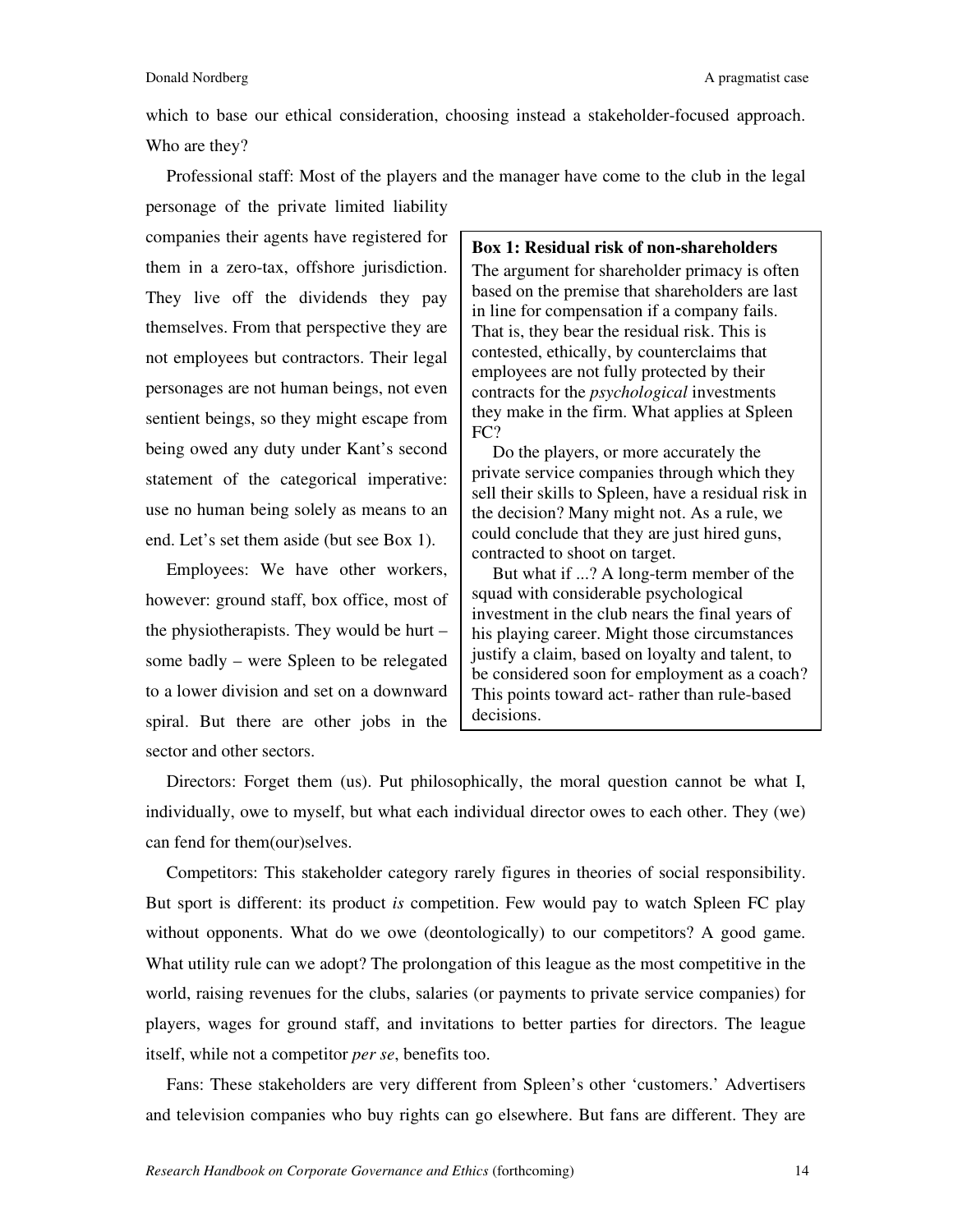which to base our ethical consideration, choosing instead a stakeholder-focused approach. Who are they?

Professional staff: Most of the players and the manager have come to the club in the legal personage of the private limited liability

companies their agents have registered for them in a zero-tax, offshore jurisdiction. They live off the dividends they pay themselves. From that perspective they are not employees but contractors. Their legal personages are not human beings, not even sentient beings, so they might escape from being owed any duty under Kant's second statement of the categorical imperative: use no human being solely as means to an end. Let's set them aside (but see Box 1).

Employees: We have other workers, however: ground staff, box office, most of the physiotherapists. They would be hurt – some badly – were Spleen to be relegated to a lower division and set on a downward spiral. But there are other jobs in the sector and other sectors.

## **Box 1: Residual risk of non-shareholders**

The argument for shareholder primacy is often based on the premise that shareholders are last in line for compensation if a company fails. That is, they bear the residual risk. This is contested, ethically, by counterclaims that employees are not fully protected by their contracts for the *psychological* investments they make in the firm. What applies at Spleen FC?

Do the players, or more accurately the private service companies through which they sell their skills to Spleen, have a residual risk in the decision? Many might not. As a rule, we could conclude that they are just hired guns, contracted to shoot on target.

But what if ...? A long-term member of the squad with considerable psychological investment in the club nears the final years of his playing career. Might those circumstances justify a claim, based on loyalty and talent, to be considered soon for employment as a coach? This points toward act- rather than rule-based decisions.

Directors: Forget them (us). Put philosophically, the moral question cannot be what I, individually, owe to myself, but what each individual director owes to each other. They (we) can fend for them(our)selves.

Competitors: This stakeholder category rarely figures in theories of social responsibility. But sport is different: its product *is* competition. Few would pay to watch Spleen FC play without opponents. What do we owe (deontologically) to our competitors? A good game. What utility rule can we adopt? The prolongation of this league as the most competitive in the world, raising revenues for the clubs, salaries (or payments to private service companies) for players, wages for ground staff, and invitations to better parties for directors. The league itself, while not a competitor *per se*, benefits too.

Fans: These stakeholders are very different from Spleen's other 'customers.' Advertisers and television companies who buy rights can go elsewhere. But fans are different. They are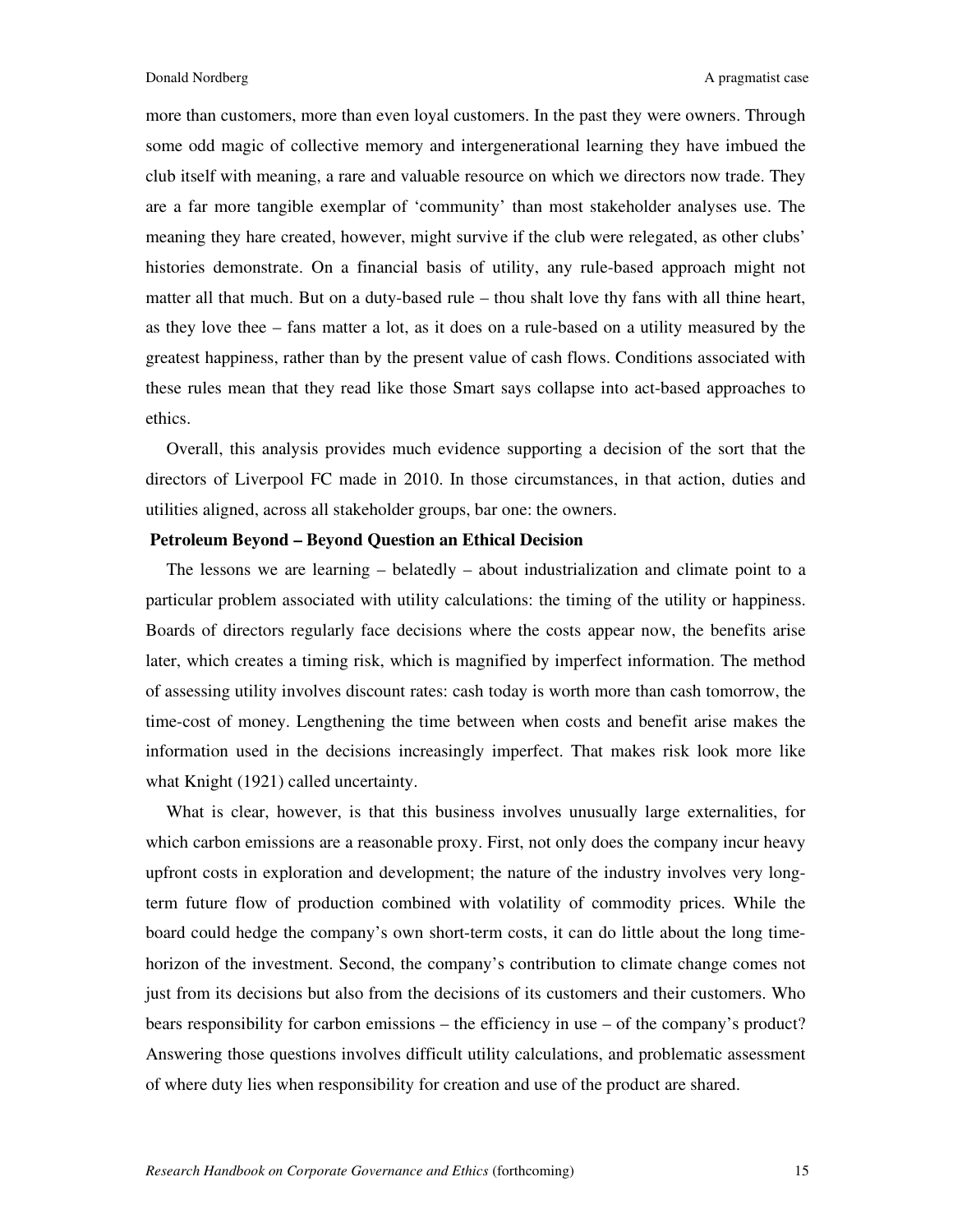more than customers, more than even loyal customers. In the past they were owners. Through some odd magic of collective memory and intergenerational learning they have imbued the club itself with meaning, a rare and valuable resource on which we directors now trade. They are a far more tangible exemplar of 'community' than most stakeholder analyses use. The meaning they hare created, however, might survive if the club were relegated, as other clubs' histories demonstrate. On a financial basis of utility, any rule-based approach might not matter all that much. But on a duty-based rule – thou shalt love thy fans with all thine heart, as they love thee – fans matter a lot, as it does on a rule-based on a utility measured by the greatest happiness, rather than by the present value of cash flows. Conditions associated with these rules mean that they read like those Smart says collapse into act-based approaches to ethics.

Overall, this analysis provides much evidence supporting a decision of the sort that the directors of Liverpool FC made in 2010. In those circumstances, in that action, duties and utilities aligned, across all stakeholder groups, bar one: the owners.

## **Petroleum Beyond – Beyond Question an Ethical Decision**

The lessons we are learning – belatedly – about industrialization and climate point to a particular problem associated with utility calculations: the timing of the utility or happiness. Boards of directors regularly face decisions where the costs appear now, the benefits arise later, which creates a timing risk, which is magnified by imperfect information. The method of assessing utility involves discount rates: cash today is worth more than cash tomorrow, the time-cost of money. Lengthening the time between when costs and benefit arise makes the information used in the decisions increasingly imperfect. That makes risk look more like what Knight (1921) called uncertainty.

What is clear, however, is that this business involves unusually large externalities, for which carbon emissions are a reasonable proxy. First, not only does the company incur heavy upfront costs in exploration and development; the nature of the industry involves very longterm future flow of production combined with volatility of commodity prices. While the board could hedge the company's own short-term costs, it can do little about the long timehorizon of the investment. Second, the company's contribution to climate change comes not just from its decisions but also from the decisions of its customers and their customers. Who bears responsibility for carbon emissions – the efficiency in use – of the company's product? Answering those questions involves difficult utility calculations, and problematic assessment of where duty lies when responsibility for creation and use of the product are shared.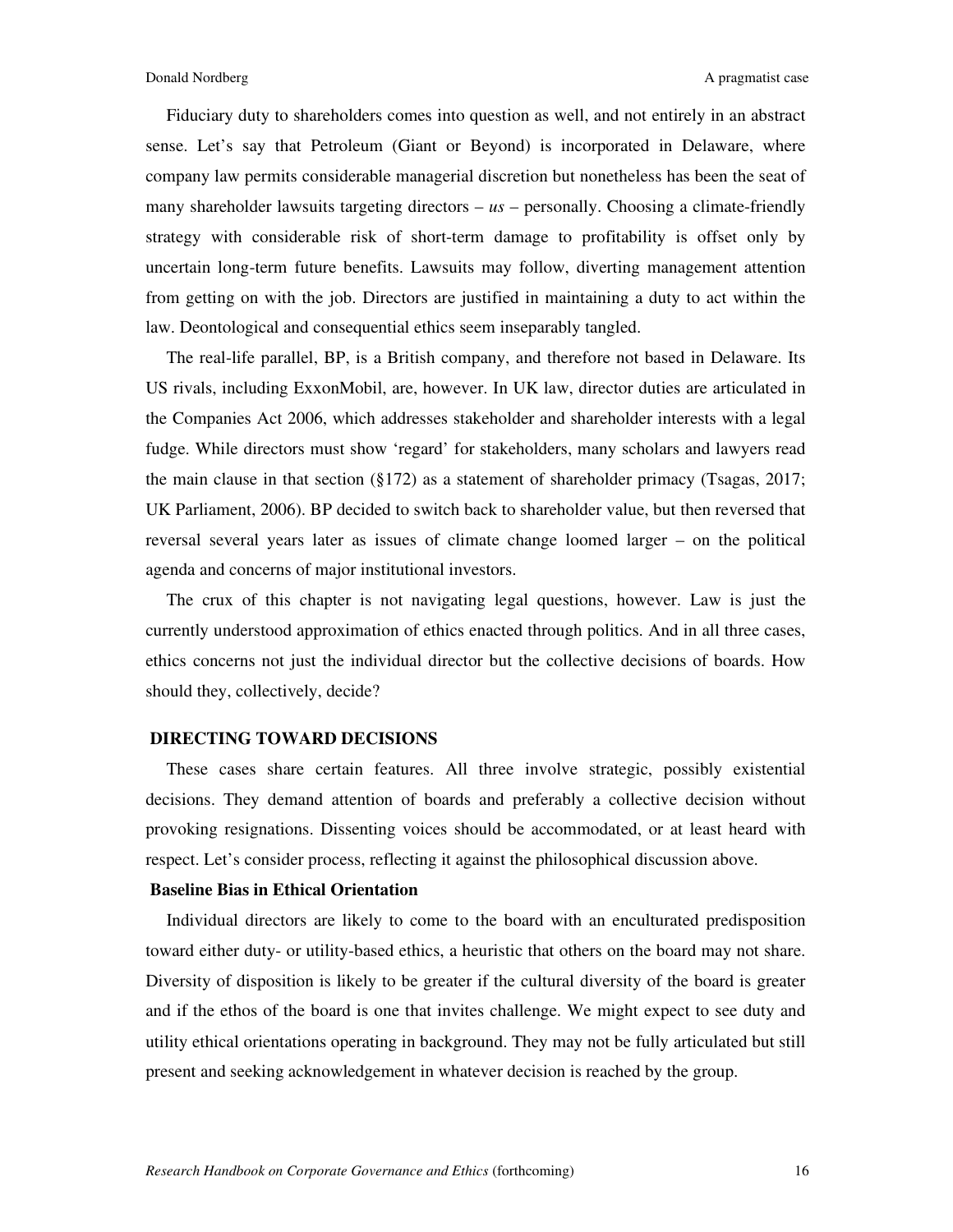Fiduciary duty to shareholders comes into question as well, and not entirely in an abstract sense. Let's say that Petroleum (Giant or Beyond) is incorporated in Delaware, where company law permits considerable managerial discretion but nonetheless has been the seat of many shareholder lawsuits targeting directors –  $us$  – personally. Choosing a climate-friendly strategy with considerable risk of short-term damage to profitability is offset only by uncertain long-term future benefits. Lawsuits may follow, diverting management attention from getting on with the job. Directors are justified in maintaining a duty to act within the law. Deontological and consequential ethics seem inseparably tangled.

The real-life parallel, BP, is a British company, and therefore not based in Delaware. Its US rivals, including ExxonMobil, are, however. In UK law, director duties are articulated in the Companies Act 2006, which addresses stakeholder and shareholder interests with a legal fudge. While directors must show 'regard' for stakeholders, many scholars and lawyers read the main clause in that section (§172) as a statement of shareholder primacy (Tsagas, 2017; UK Parliament, 2006). BP decided to switch back to shareholder value, but then reversed that reversal several years later as issues of climate change loomed larger – on the political agenda and concerns of major institutional investors.

The crux of this chapter is not navigating legal questions, however. Law is just the currently understood approximation of ethics enacted through politics. And in all three cases, ethics concerns not just the individual director but the collective decisions of boards. How should they, collectively, decide?

#### **DIRECTING TOWARD DECISIONS**

These cases share certain features. All three involve strategic, possibly existential decisions. They demand attention of boards and preferably a collective decision without provoking resignations. Dissenting voices should be accommodated, or at least heard with respect. Let's consider process, reflecting it against the philosophical discussion above.

#### **Baseline Bias in Ethical Orientation**

Individual directors are likely to come to the board with an enculturated predisposition toward either duty- or utility-based ethics, a heuristic that others on the board may not share. Diversity of disposition is likely to be greater if the cultural diversity of the board is greater and if the ethos of the board is one that invites challenge. We might expect to see duty and utility ethical orientations operating in background. They may not be fully articulated but still present and seeking acknowledgement in whatever decision is reached by the group.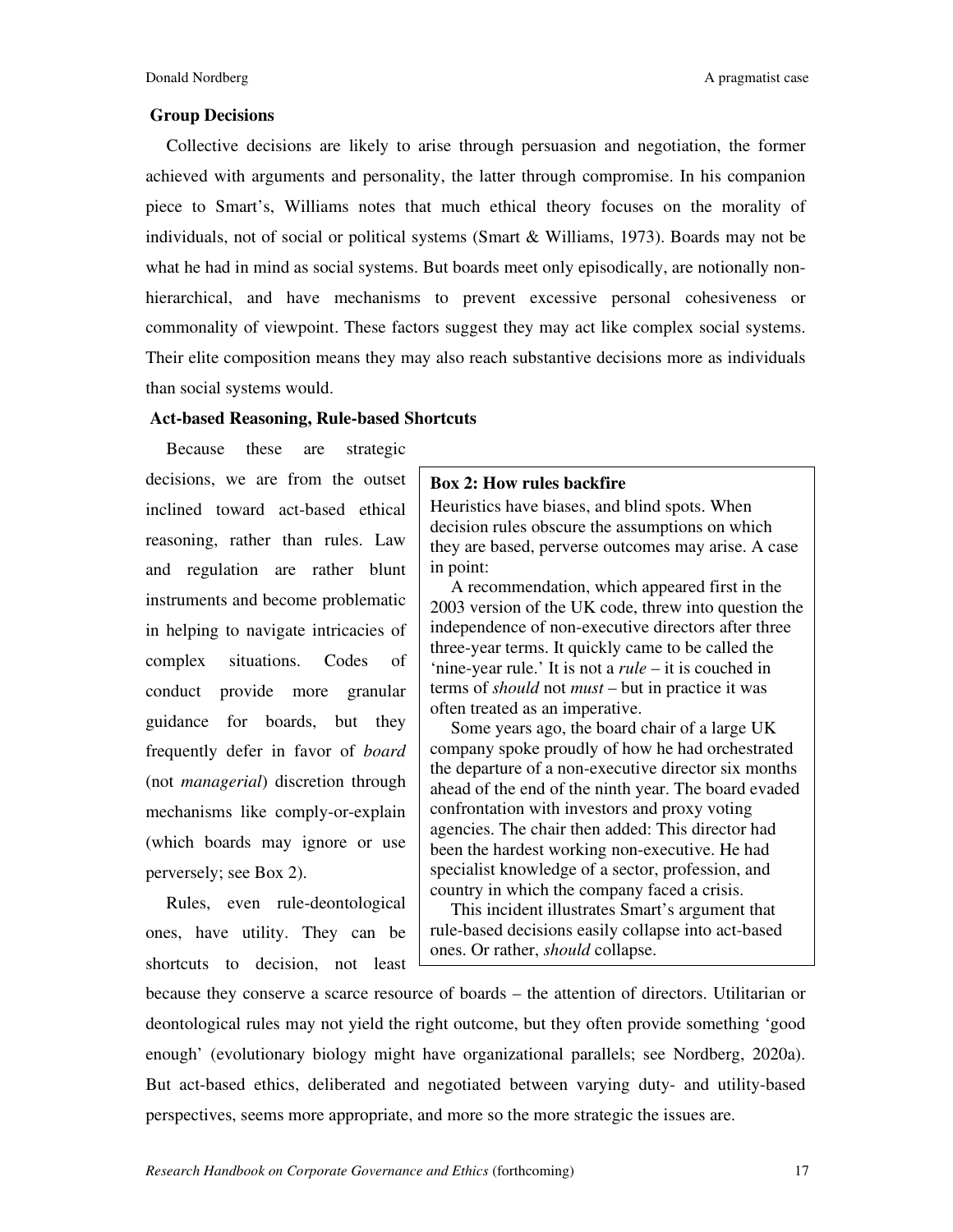#### **Group Decisions**

Collective decisions are likely to arise through persuasion and negotiation, the former achieved with arguments and personality, the latter through compromise. In his companion piece to Smart's, Williams notes that much ethical theory focuses on the morality of individuals, not of social or political systems (Smart & Williams, 1973). Boards may not be what he had in mind as social systems. But boards meet only episodically, are notionally nonhierarchical, and have mechanisms to prevent excessive personal cohesiveness or commonality of viewpoint. These factors suggest they may act like complex social systems. Their elite composition means they may also reach substantive decisions more as individuals than social systems would.

#### **Act-based Reasoning, Rule-based Shortcuts**

Because these are strategic decisions, we are from the outset inclined toward act-based ethical reasoning, rather than rules. Law and regulation are rather blunt instruments and become problematic in helping to navigate intricacies of complex situations. Codes of conduct provide more granular guidance for boards, but they frequently defer in favor of *board* (not *managerial*) discretion through mechanisms like comply-or-explain (which boards may ignore or use perversely; see Box 2).

Rules, even rule-deontological ones, have utility. They can be shortcuts to decision, not least

#### **Box 2: How rules backfire**

Heuristics have biases, and blind spots. When decision rules obscure the assumptions on which they are based, perverse outcomes may arise. A case in point:

A recommendation, which appeared first in the 2003 version of the UK code, threw into question the independence of non-executive directors after three three-year terms. It quickly came to be called the 'nine-year rule.' It is not a *rule* – it is couched in terms of *should* not *must* – but in practice it was often treated as an imperative.

Some years ago, the board chair of a large UK company spoke proudly of how he had orchestrated the departure of a non-executive director six months ahead of the end of the ninth year. The board evaded confrontation with investors and proxy voting agencies. The chair then added: This director had been the hardest working non-executive. He had specialist knowledge of a sector, profession, and country in which the company faced a crisis.

This incident illustrates Smart's argument that rule-based decisions easily collapse into act-based ones. Or rather, *should* collapse.

because they conserve a scarce resource of boards – the attention of directors. Utilitarian or deontological rules may not yield the right outcome, but they often provide something 'good enough' (evolutionary biology might have organizational parallels; see Nordberg, 2020a). But act-based ethics, deliberated and negotiated between varying duty- and utility-based perspectives, seems more appropriate, and more so the more strategic the issues are.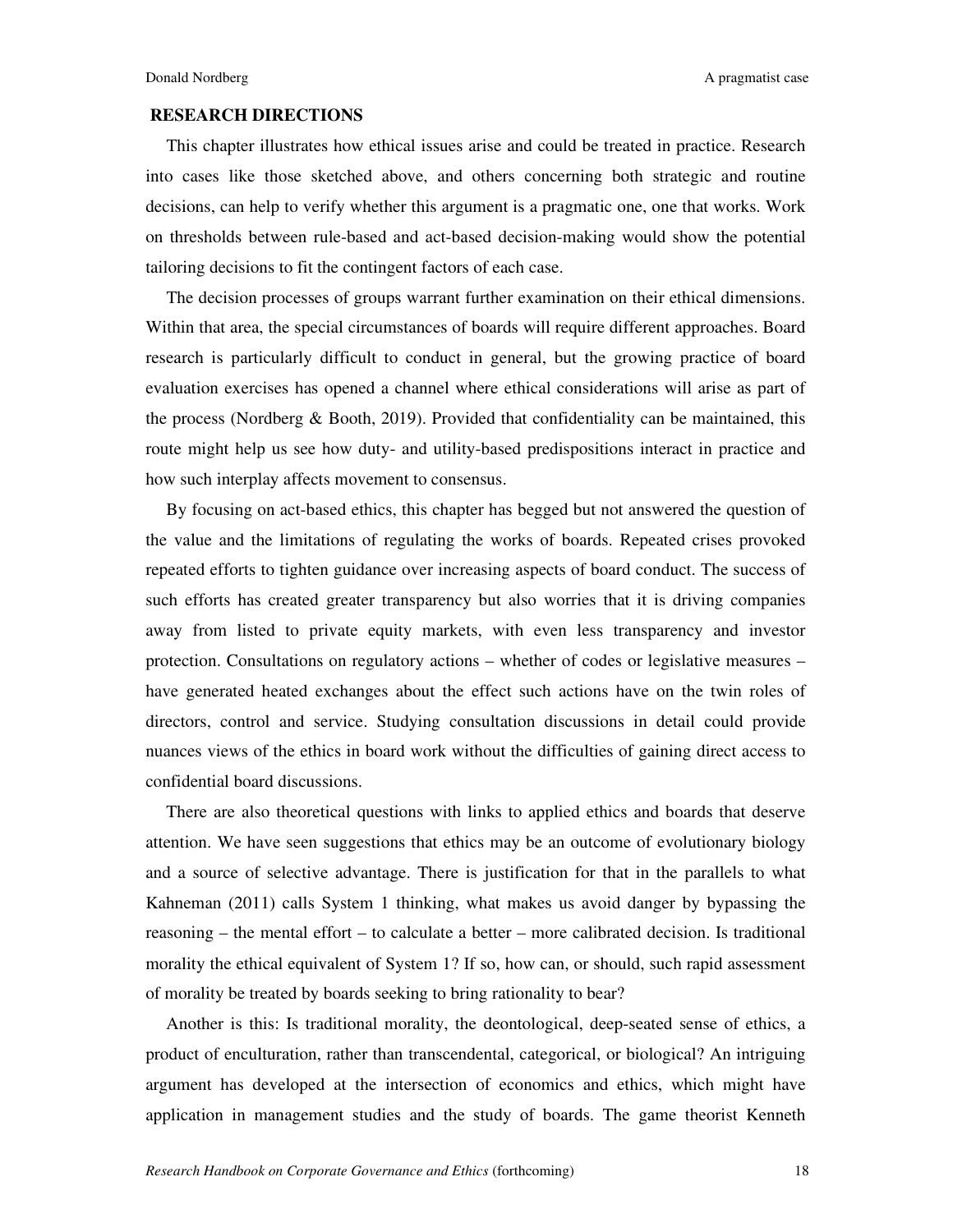Donald Nordberg **A** pragmatist case A pragmatist case

## **RESEARCH DIRECTIONS**

This chapter illustrates how ethical issues arise and could be treated in practice. Research into cases like those sketched above, and others concerning both strategic and routine decisions, can help to verify whether this argument is a pragmatic one, one that works. Work on thresholds between rule-based and act-based decision-making would show the potential tailoring decisions to fit the contingent factors of each case.

The decision processes of groups warrant further examination on their ethical dimensions. Within that area, the special circumstances of boards will require different approaches. Board research is particularly difficult to conduct in general, but the growing practice of board evaluation exercises has opened a channel where ethical considerations will arise as part of the process (Nordberg & Booth, 2019). Provided that confidentiality can be maintained, this route might help us see how duty- and utility-based predispositions interact in practice and how such interplay affects movement to consensus.

By focusing on act-based ethics, this chapter has begged but not answered the question of the value and the limitations of regulating the works of boards. Repeated crises provoked repeated efforts to tighten guidance over increasing aspects of board conduct. The success of such efforts has created greater transparency but also worries that it is driving companies away from listed to private equity markets, with even less transparency and investor protection. Consultations on regulatory actions – whether of codes or legislative measures – have generated heated exchanges about the effect such actions have on the twin roles of directors, control and service. Studying consultation discussions in detail could provide nuances views of the ethics in board work without the difficulties of gaining direct access to confidential board discussions.

There are also theoretical questions with links to applied ethics and boards that deserve attention. We have seen suggestions that ethics may be an outcome of evolutionary biology and a source of selective advantage. There is justification for that in the parallels to what Kahneman (2011) calls System 1 thinking, what makes us avoid danger by bypassing the reasoning – the mental effort – to calculate a better – more calibrated decision. Is traditional morality the ethical equivalent of System 1? If so, how can, or should, such rapid assessment of morality be treated by boards seeking to bring rationality to bear?

Another is this: Is traditional morality, the deontological, deep-seated sense of ethics, a product of enculturation, rather than transcendental, categorical, or biological? An intriguing argument has developed at the intersection of economics and ethics, which might have application in management studies and the study of boards. The game theorist Kenneth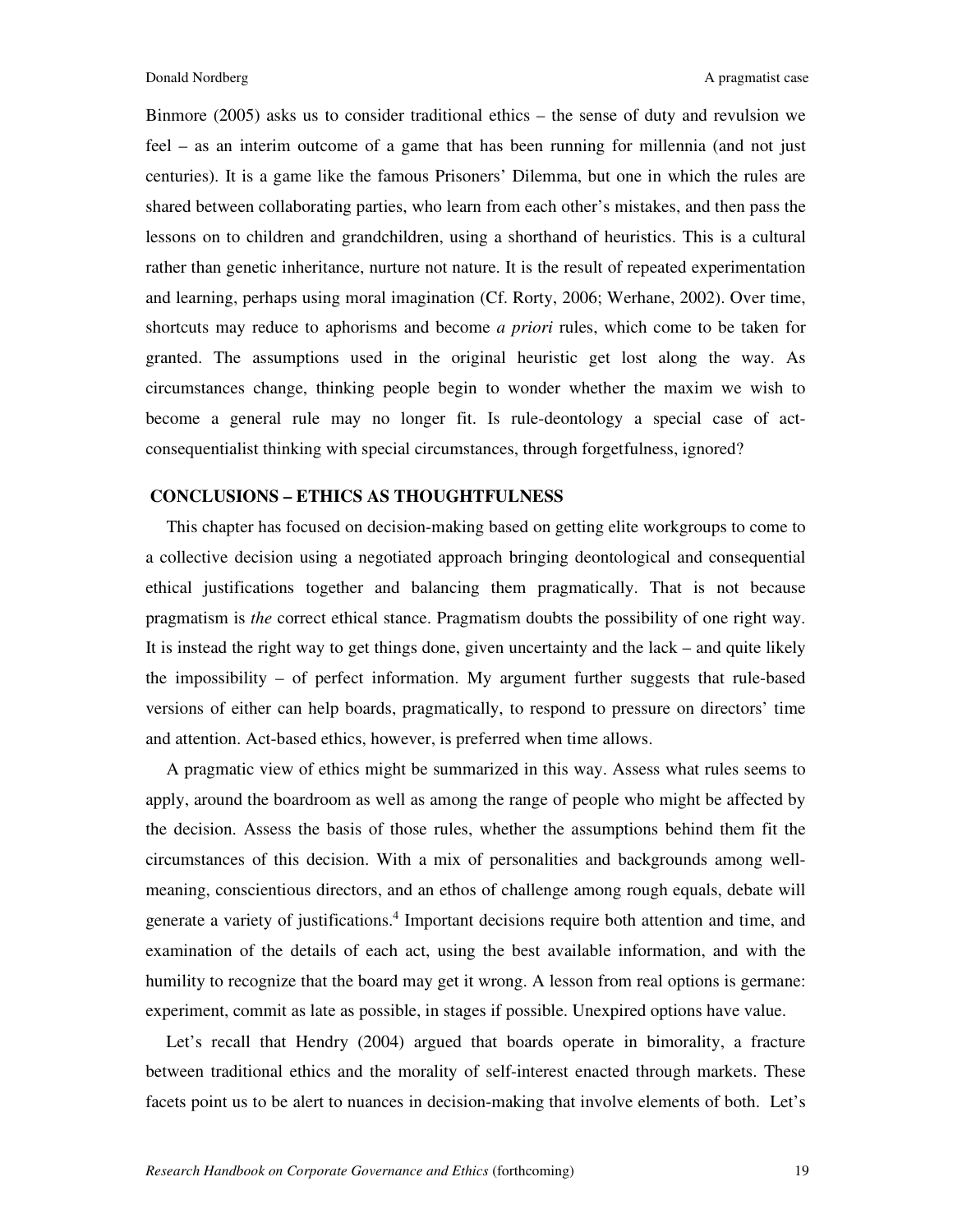Binmore (2005) asks us to consider traditional ethics – the sense of duty and revulsion we feel – as an interim outcome of a game that has been running for millennia (and not just centuries). It is a game like the famous Prisoners' Dilemma, but one in which the rules are shared between collaborating parties, who learn from each other's mistakes, and then pass the lessons on to children and grandchildren, using a shorthand of heuristics. This is a cultural rather than genetic inheritance, nurture not nature. It is the result of repeated experimentation and learning, perhaps using moral imagination (Cf. Rorty, 2006; Werhane, 2002). Over time, shortcuts may reduce to aphorisms and become *a priori* rules, which come to be taken for granted. The assumptions used in the original heuristic get lost along the way. As circumstances change, thinking people begin to wonder whether the maxim we wish to become a general rule may no longer fit. Is rule-deontology a special case of actconsequentialist thinking with special circumstances, through forgetfulness, ignored?

## **CONCLUSIONS – ETHICS AS THOUGHTFULNESS**

This chapter has focused on decision-making based on getting elite workgroups to come to a collective decision using a negotiated approach bringing deontological and consequential ethical justifications together and balancing them pragmatically. That is not because pragmatism is *the* correct ethical stance. Pragmatism doubts the possibility of one right way. It is instead the right way to get things done, given uncertainty and the lack – and quite likely the impossibility – of perfect information. My argument further suggests that rule-based versions of either can help boards, pragmatically, to respond to pressure on directors' time and attention. Act-based ethics, however, is preferred when time allows.

A pragmatic view of ethics might be summarized in this way. Assess what rules seems to apply, around the boardroom as well as among the range of people who might be affected by the decision. Assess the basis of those rules, whether the assumptions behind them fit the circumstances of this decision. With a mix of personalities and backgrounds among wellmeaning, conscientious directors, and an ethos of challenge among rough equals, debate will generate a variety of justifications.<sup>4</sup> Important decisions require both attention and time, and examination of the details of each act, using the best available information, and with the humility to recognize that the board may get it wrong. A lesson from real options is germane: experiment, commit as late as possible, in stages if possible. Unexpired options have value.

Let's recall that Hendry (2004) argued that boards operate in bimorality, a fracture between traditional ethics and the morality of self-interest enacted through markets. These facets point us to be alert to nuances in decision-making that involve elements of both. Let's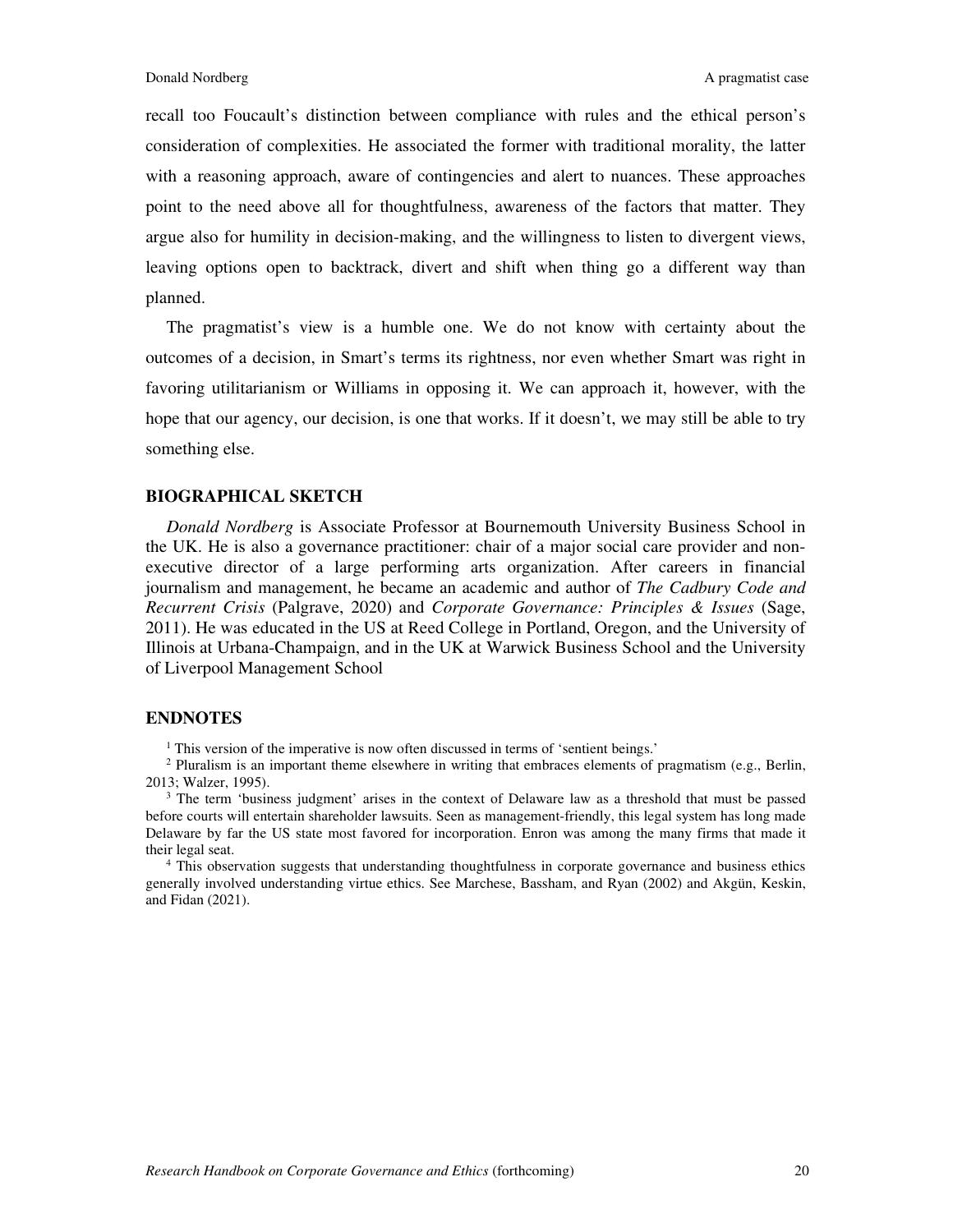recall too Foucault's distinction between compliance with rules and the ethical person's consideration of complexities. He associated the former with traditional morality, the latter with a reasoning approach, aware of contingencies and alert to nuances. These approaches point to the need above all for thoughtfulness, awareness of the factors that matter. They argue also for humility in decision-making, and the willingness to listen to divergent views, leaving options open to backtrack, divert and shift when thing go a different way than planned.

The pragmatist's view is a humble one. We do not know with certainty about the outcomes of a decision, in Smart's terms its rightness, nor even whether Smart was right in favoring utilitarianism or Williams in opposing it. We can approach it, however, with the hope that our agency, our decision, is one that works. If it doesn't, we may still be able to try something else.

#### **BIOGRAPHICAL SKETCH**

*Donald Nordberg* is Associate Professor at Bournemouth University Business School in the UK. He is also a governance practitioner: chair of a major social care provider and nonexecutive director of a large performing arts organization. After careers in financial journalism and management, he became an academic and author of *The Cadbury Code and Recurrent Crisis* (Palgrave, 2020) and *Corporate Governance: Principles & Issues* (Sage, 2011). He was educated in the US at Reed College in Portland, Oregon, and the University of Illinois at Urbana-Champaign, and in the UK at Warwick Business School and the University of Liverpool Management School

## **ENDNOTES**

<sup>1</sup> This version of the imperative is now often discussed in terms of 'sentient beings.'

<sup>2</sup> Pluralism is an important theme elsewhere in writing that embraces elements of pragmatism (e.g., Berlin, 2013; Walzer, 1995).

<sup>3</sup> The term 'business judgment' arises in the context of Delaware law as a threshold that must be passed before courts will entertain shareholder lawsuits. Seen as management-friendly, this legal system has long made Delaware by far the US state most favored for incorporation. Enron was among the many firms that made it their legal seat.

4 This observation suggests that understanding thoughtfulness in corporate governance and business ethics generally involved understanding virtue ethics. See Marchese, Bassham, and Ryan (2002) and Akgün, Keskin, and Fidan (2021).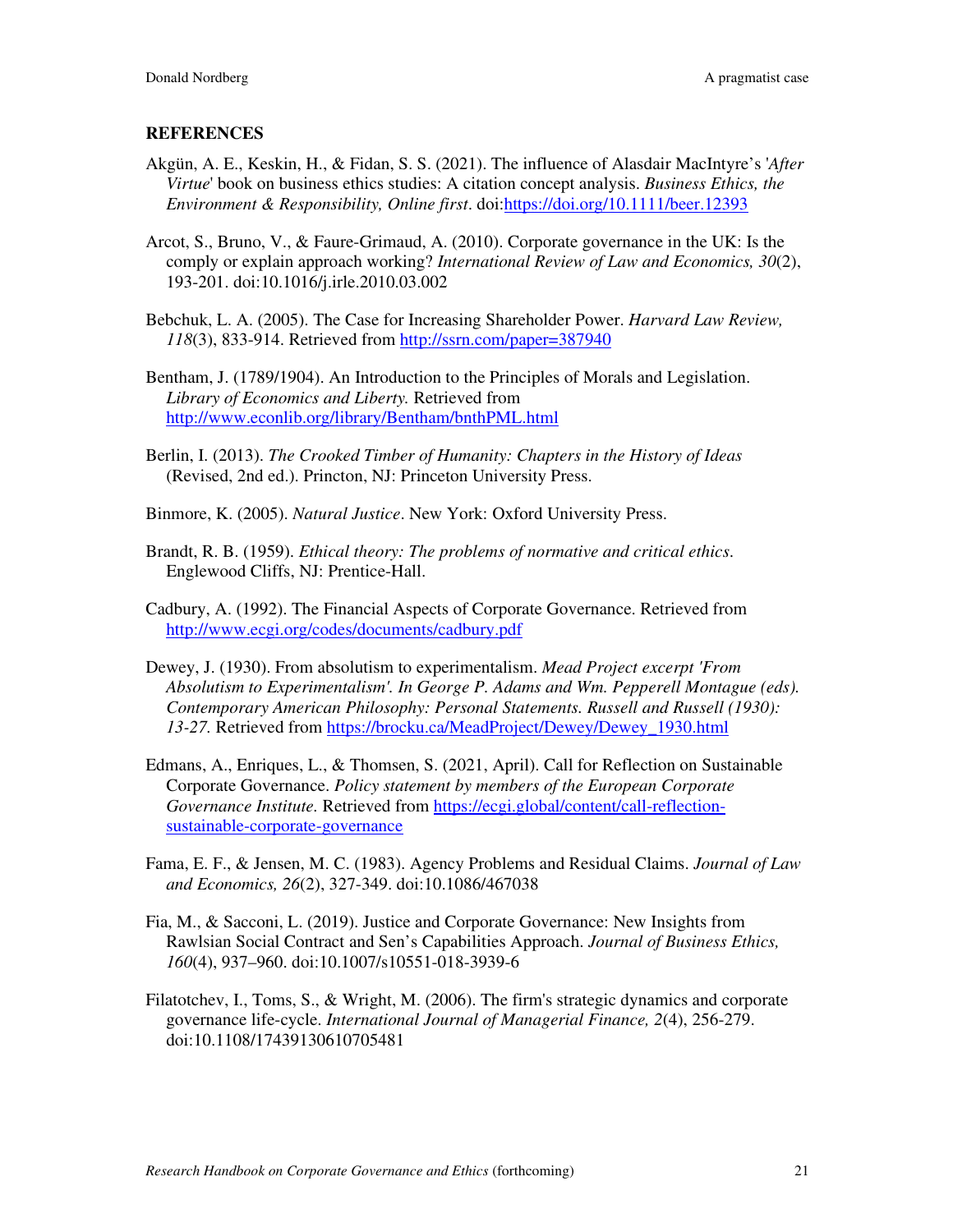## **REFERENCES**

- Akgün, A. E., Keskin, H., & Fidan, S. S. (2021). The influence of Alasdair MacIntyre's '*After Virtue*' book on business ethics studies: A citation concept analysis. *Business Ethics, the Environment & Responsibility, Online first*. doi:https://doi.org/10.1111/beer.12393
- Arcot, S., Bruno, V., & Faure-Grimaud, A. (2010). Corporate governance in the UK: Is the comply or explain approach working? *International Review of Law and Economics, 30*(2), 193-201. doi:10.1016/j.irle.2010.03.002
- Bebchuk, L. A. (2005). The Case for Increasing Shareholder Power. *Harvard Law Review, 118*(3), 833-914. Retrieved from http://ssrn.com/paper=387940
- Bentham, J. (1789/1904). An Introduction to the Principles of Morals and Legislation. *Library of Economics and Liberty.* Retrieved from http://www.econlib.org/library/Bentham/bnthPML.html
- Berlin, I. (2013). *The Crooked Timber of Humanity: Chapters in the History of Ideas* (Revised, 2nd ed.). Princton, NJ: Princeton University Press.
- Binmore, K. (2005). *Natural Justice*. New York: Oxford University Press.
- Brandt, R. B. (1959). *Ethical theory: The problems of normative and critical ethics*. Englewood Cliffs, NJ: Prentice-Hall.
- Cadbury, A. (1992). The Financial Aspects of Corporate Governance. Retrieved from http://www.ecgi.org/codes/documents/cadbury.pdf
- Dewey, J. (1930). From absolutism to experimentalism. *Mead Project excerpt 'From Absolutism to Experimentalism'. In George P. Adams and Wm. Pepperell Montague (eds). Contemporary American Philosophy: Personal Statements. Russell and Russell (1930): 13-27.* Retrieved from https://brocku.ca/MeadProject/Dewey/Dewey\_1930.html
- Edmans, A., Enriques, L., & Thomsen, S. (2021, April). Call for Reflection on Sustainable Corporate Governance. *Policy statement by members of the European Corporate Governance Institute.* Retrieved from https://ecgi.global/content/call-reflectionsustainable-corporate-governance
- Fama, E. F., & Jensen, M. C. (1983). Agency Problems and Residual Claims. *Journal of Law and Economics, 26*(2), 327-349. doi:10.1086/467038
- Fia, M., & Sacconi, L. (2019). Justice and Corporate Governance: New Insights from Rawlsian Social Contract and Sen's Capabilities Approach. *Journal of Business Ethics, 160*(4), 937–960. doi:10.1007/s10551-018-3939-6
- Filatotchev, I., Toms, S., & Wright, M. (2006). The firm's strategic dynamics and corporate governance life-cycle. *International Journal of Managerial Finance, 2*(4), 256-279. doi:10.1108/17439130610705481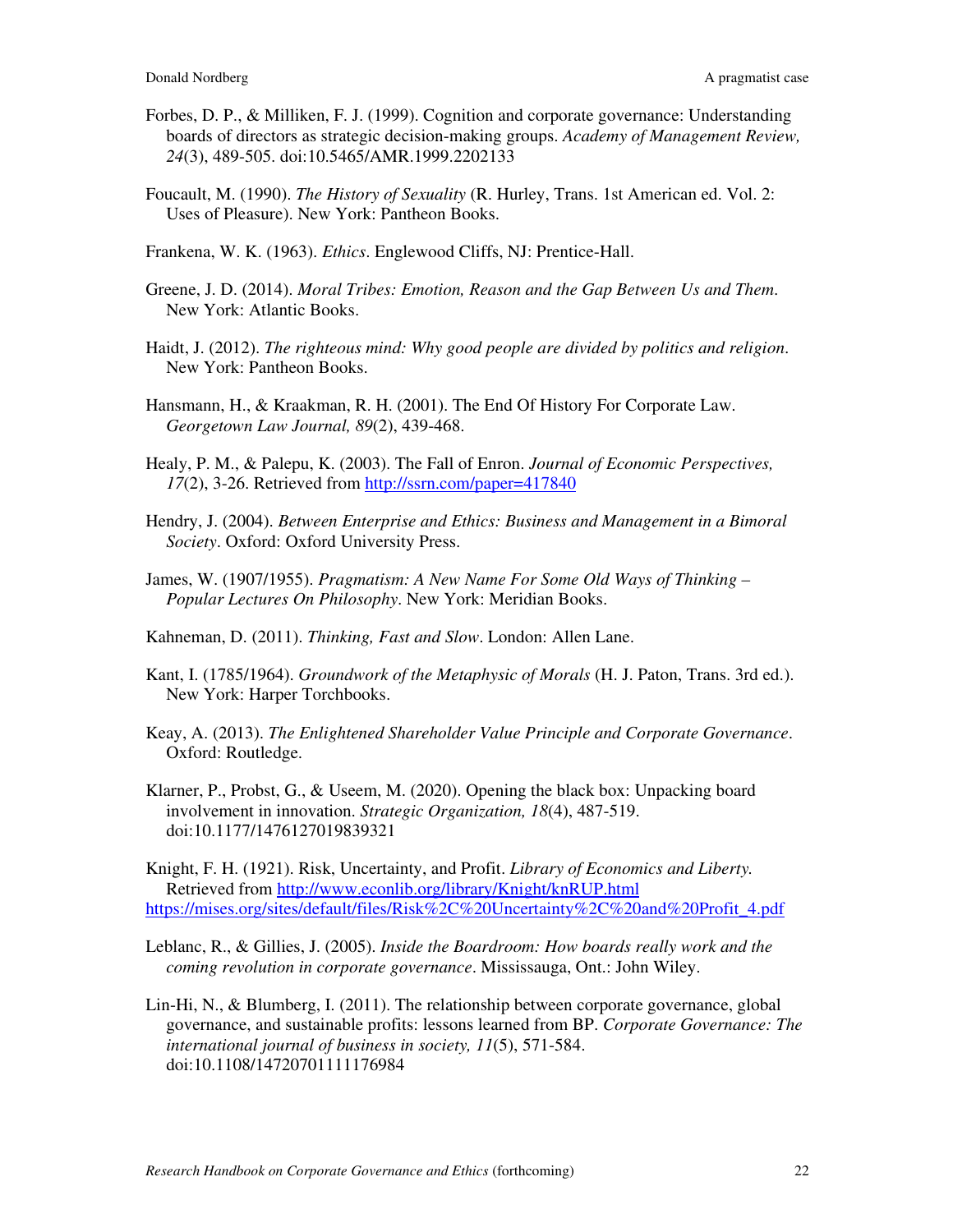- Forbes, D. P., & Milliken, F. J. (1999). Cognition and corporate governance: Understanding boards of directors as strategic decision-making groups. *Academy of Management Review, 24*(3), 489-505. doi:10.5465/AMR.1999.2202133
- Foucault, M. (1990). *The History of Sexuality* (R. Hurley, Trans. 1st American ed. Vol. 2: Uses of Pleasure). New York: Pantheon Books.
- Frankena, W. K. (1963). *Ethics*. Englewood Cliffs, NJ: Prentice-Hall.
- Greene, J. D. (2014). *Moral Tribes: Emotion, Reason and the Gap Between Us and Them*. New York: Atlantic Books.
- Haidt, J. (2012). *The righteous mind: Why good people are divided by politics and religion*. New York: Pantheon Books.
- Hansmann, H., & Kraakman, R. H. (2001). The End Of History For Corporate Law. *Georgetown Law Journal, 89*(2), 439-468.
- Healy, P. M., & Palepu, K. (2003). The Fall of Enron. *Journal of Economic Perspectives, 17*(2), 3-26. Retrieved from http://ssrn.com/paper=417840
- Hendry, J. (2004). *Between Enterprise and Ethics: Business and Management in a Bimoral Society*. Oxford: Oxford University Press.
- James, W. (1907/1955). *Pragmatism: A New Name For Some Old Ways of Thinking Popular Lectures On Philosophy*. New York: Meridian Books.
- Kahneman, D. (2011). *Thinking, Fast and Slow*. London: Allen Lane.
- Kant, I. (1785/1964). *Groundwork of the Metaphysic of Morals* (H. J. Paton, Trans. 3rd ed.). New York: Harper Torchbooks.
- Keay, A. (2013). *The Enlightened Shareholder Value Principle and Corporate Governance*. Oxford: Routledge.
- Klarner, P., Probst, G., & Useem, M. (2020). Opening the black box: Unpacking board involvement in innovation. *Strategic Organization, 18*(4), 487-519. doi:10.1177/1476127019839321

Knight, F. H. (1921). Risk, Uncertainty, and Profit. *Library of Economics and Liberty.* Retrieved from http://www.econlib.org/library/Knight/knRUP.html https://mises.org/sites/default/files/Risk%2C%20Uncertainty%2C%20and%20Profit\_4.pdf

- Leblanc, R., & Gillies, J. (2005). *Inside the Boardroom: How boards really work and the coming revolution in corporate governance*. Mississauga, Ont.: John Wiley.
- Lin-Hi, N., & Blumberg, I. (2011). The relationship between corporate governance, global governance, and sustainable profits: lessons learned from BP. *Corporate Governance: The international journal of business in society, 11*(5), 571-584. doi:10.1108/14720701111176984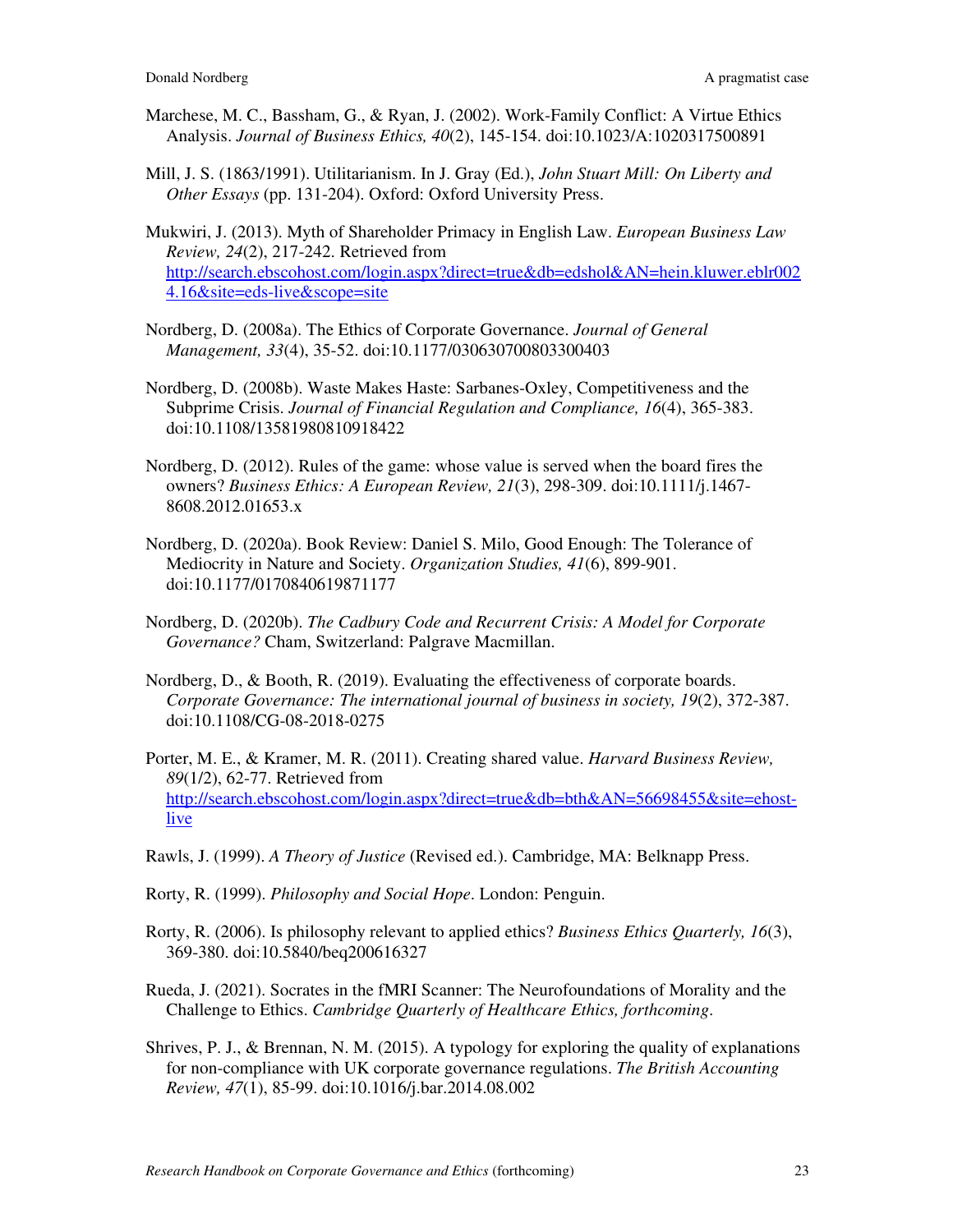- Marchese, M. C., Bassham, G., & Ryan, J. (2002). Work-Family Conflict: A Virtue Ethics Analysis. *Journal of Business Ethics, 40*(2), 145-154. doi:10.1023/A:1020317500891
- Mill, J. S. (1863/1991). Utilitarianism. In J. Gray (Ed.), *John Stuart Mill: On Liberty and Other Essays* (pp. 131-204). Oxford: Oxford University Press.

Mukwiri, J. (2013). Myth of Shareholder Primacy in English Law. *European Business Law Review, 24*(2), 217-242. Retrieved from http://search.ebscohost.com/login.aspx?direct=true&db=edshol&AN=hein.kluwer.eblr002 4.16&site=eds-live&scope=site

- Nordberg, D. (2008a). The Ethics of Corporate Governance. *Journal of General Management, 33*(4), 35-52. doi:10.1177/030630700803300403
- Nordberg, D. (2008b). Waste Makes Haste: Sarbanes-Oxley, Competitiveness and the Subprime Crisis. *Journal of Financial Regulation and Compliance, 16*(4), 365-383. doi:10.1108/13581980810918422
- Nordberg, D. (2012). Rules of the game: whose value is served when the board fires the owners? *Business Ethics: A European Review, 21*(3), 298-309. doi:10.1111/j.1467- 8608.2012.01653.x
- Nordberg, D. (2020a). Book Review: Daniel S. Milo, Good Enough: The Tolerance of Mediocrity in Nature and Society. *Organization Studies, 41*(6), 899-901. doi:10.1177/0170840619871177
- Nordberg, D. (2020b). *The Cadbury Code and Recurrent Crisis: A Model for Corporate Governance?* Cham, Switzerland: Palgrave Macmillan.
- Nordberg, D., & Booth, R. (2019). Evaluating the effectiveness of corporate boards. *Corporate Governance: The international journal of business in society, 19*(2), 372-387. doi:10.1108/CG-08-2018-0275
- Porter, M. E., & Kramer, M. R. (2011). Creating shared value. *Harvard Business Review, 89*(1/2), 62-77. Retrieved from http://search.ebscohost.com/login.aspx?direct=true&db=bth&AN=56698455&site=ehostlive
- Rawls, J. (1999). *A Theory of Justice* (Revised ed.). Cambridge, MA: Belknapp Press.
- Rorty, R. (1999). *Philosophy and Social Hope*. London: Penguin.
- Rorty, R. (2006). Is philosophy relevant to applied ethics? *Business Ethics Quarterly, 16*(3), 369-380. doi:10.5840/beq200616327
- Rueda, J. (2021). Socrates in the fMRI Scanner: The Neurofoundations of Morality and the Challenge to Ethics. *Cambridge Quarterly of Healthcare Ethics, forthcoming*.
- Shrives, P. J., & Brennan, N. M. (2015). A typology for exploring the quality of explanations for non-compliance with UK corporate governance regulations. *The British Accounting Review, 47*(1), 85-99. doi:10.1016/j.bar.2014.08.002